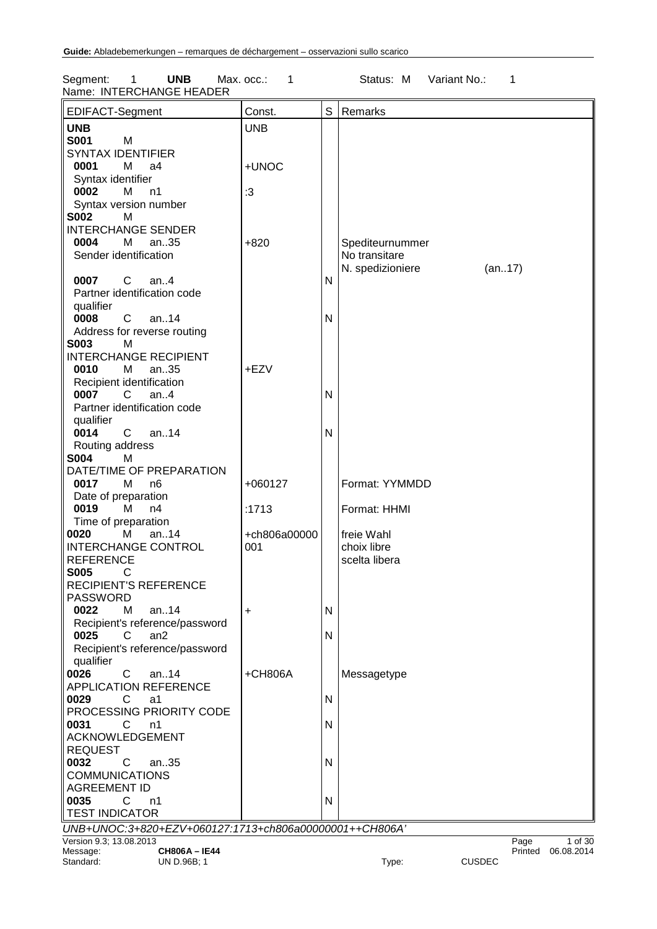Segment: 1 **UNB** Max. occ.: 1 Status: M Variant No.: 1 Name: INTERCHANGE HEADER

| EDIFACT-Segment                                        | Const.       | S | Remarks                       |
|--------------------------------------------------------|--------------|---|-------------------------------|
| <b>UNB</b>                                             | <b>UNB</b>   |   |                               |
| S001<br>M                                              |              |   |                               |
| <b>SYNTAX IDENTIFIER</b>                               |              |   |                               |
| 0001<br>M<br>a4                                        | +UNOC        |   |                               |
|                                                        |              |   |                               |
| Syntax identifier                                      |              |   |                               |
| 0002<br>М<br>n1                                        | $\cdot 3$    |   |                               |
| Syntax version number                                  |              |   |                               |
| <b>S002</b><br>M                                       |              |   |                               |
| <b>INTERCHANGE SENDER</b>                              |              |   |                               |
| 0004<br>M<br>an35                                      | $+820$       |   | Spediteurnummer               |
| Sender identification                                  |              |   | No transitare                 |
|                                                        |              |   | N. spedizioniere<br>(an17)    |
| $\mathsf{C}$<br>0007<br>an.4                           |              | N |                               |
| Partner identification code                            |              |   |                               |
| qualifier                                              |              |   |                               |
| 0008<br>$\mathbf{C}$<br>an14                           |              | N |                               |
| Address for reverse routing                            |              |   |                               |
| <b>S003</b><br>м                                       |              |   |                               |
| <b>INTERCHANGE RECIPIENT</b>                           |              |   |                               |
| 0010<br>an35<br>М                                      | +EZV         |   |                               |
| Recipient identification                               |              |   |                               |
| 0007<br>$\mathsf{C}$<br>an.4                           |              | N |                               |
|                                                        |              |   |                               |
| Partner identification code                            |              |   |                               |
| qualifier                                              |              |   |                               |
| $\mathbf{C}$<br>0014<br>an14                           |              | N |                               |
| Routing address                                        |              |   |                               |
| <b>S004</b><br>M                                       |              |   |                               |
| DATE/TIME OF PREPARATION                               |              |   |                               |
| 0017<br>M<br>n <sub>6</sub>                            | $+060127$    |   | Format: YYMMDD                |
| Date of preparation                                    |              |   |                               |
| 0019<br>M<br>n4                                        | :1713        |   | Format: HHMI                  |
| Time of preparation                                    |              |   |                               |
| 0020<br>an14<br>M                                      | +ch806a00000 |   | freie Wahl                    |
| <b>INTERCHANGE CONTROL</b>                             | 001          |   | choix libre                   |
| <b>REFERENCE</b>                                       |              |   | scelta libera                 |
| <b>S005</b><br>C                                       |              |   |                               |
| <b>RECIPIENT'S REFERENCE</b>                           |              |   |                               |
|                                                        |              |   |                               |
| <b>PASSWORD</b>                                        |              |   |                               |
| 0022<br>M<br>an14                                      | +            | N |                               |
| Recipient's reference/password                         |              |   |                               |
| 0025<br>an <sub>2</sub><br>C                           |              | N |                               |
| Recipient's reference/password                         |              |   |                               |
| qualifier                                              |              |   |                               |
| 0026<br>C<br>an $.14$                                  | +CH806A      |   | Messagetype                   |
| <b>APPLICATION REFERENCE</b>                           |              |   |                               |
| 0029<br>C<br>a1                                        |              | N |                               |
| PROCESSING PRIORITY CODE                               |              |   |                               |
| 0031<br>C<br>n1                                        |              | N |                               |
| ACKNOWLEDGEMENT                                        |              |   |                               |
| <b>REQUEST</b>                                         |              |   |                               |
| 0032<br>C<br>an35                                      |              | N |                               |
| <b>COMMUNICATIONS</b>                                  |              |   |                               |
| <b>AGREEMENT ID</b>                                    |              |   |                               |
| 0035<br>C<br>n1                                        |              | N |                               |
| <b>TEST INDICATOR</b>                                  |              |   |                               |
| UNB+UNOC:3+820+EZV+060127:1713+ch806a00000001++CH806A' |              |   |                               |
| Version 9.3; 13.08.2013                                |              |   | $\overline{P}$ age<br>1 of 30 |
| <b>CH806A-IE44</b><br>Message:                         |              |   | Printed 06.08.2014            |

Standard: UN D.96B; 1 Type: CUSDEC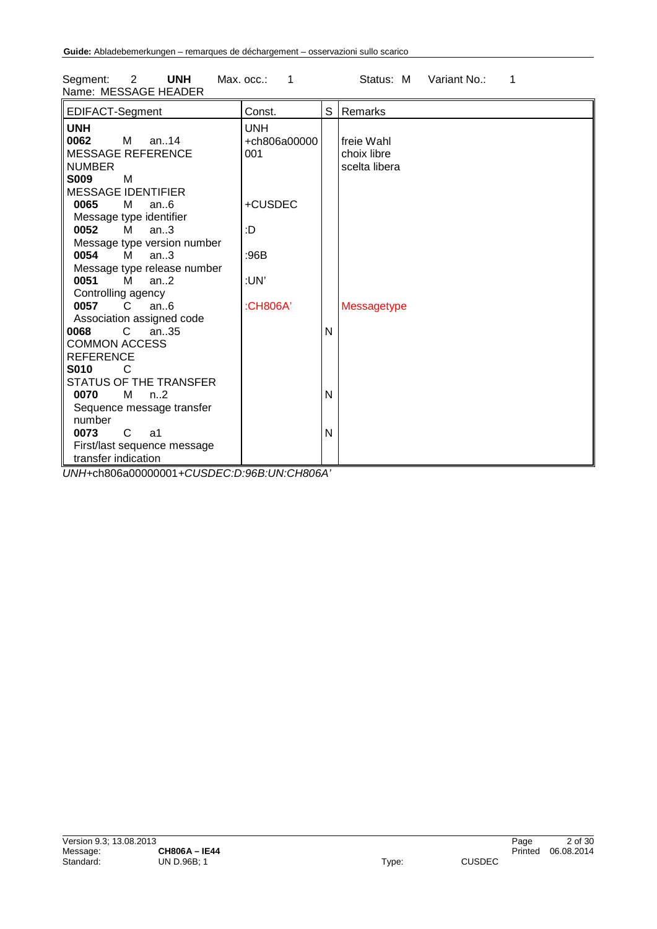| Segment:             | <b>UNH</b> | Max. occ.: |  | Status: M | _Variant No.∶ |  |
|----------------------|------------|------------|--|-----------|---------------|--|
| Name: MESSAGE HEADER |            |            |  |           |               |  |
|                      |            |            |  |           |               |  |

| EDIFACT-Segment               | Const.       | S | Remarks       |
|-------------------------------|--------------|---|---------------|
| <b>UNH</b>                    | <b>UNH</b>   |   |               |
| 0062<br>$M$ an. 14            | +ch806a00000 |   | freie Wahl    |
| <b>MESSAGE REFERENCE</b>      | 001          |   | choix libre   |
| <b>NUMBER</b>                 |              |   | scelta libera |
| <b>S009</b><br>M              |              |   |               |
| <b>MESSAGE IDENTIFIER</b>     |              |   |               |
| 0065<br>M<br>an.6             | +CUSDEC      |   |               |
| Message type identifier       |              |   |               |
| 0052<br>M<br>an.3             | :D           |   |               |
| Message type version number   |              |   |               |
| 0054<br>M<br>an.3             | :96B         |   |               |
| Message type release number   |              |   |               |
| 0051<br>M<br>an.2             | :UN'         |   |               |
| Controlling agency            |              |   |               |
| 0057<br>an.6<br>C.            | :CH806A'     |   | Messagetype   |
| Association assigned code     |              |   |               |
| 8900<br>$\mathbf{C}$<br>an35  |              | N |               |
| <b>COMMON ACCESS</b>          |              |   |               |
| <b>REFERENCE</b>              |              |   |               |
| <b>S010</b><br>C              |              |   |               |
| STATUS OF THE TRANSFER        |              |   |               |
| 0070<br>M<br>n <sub>1</sub> 2 |              | N |               |
| Sequence message transfer     |              |   |               |
| number                        |              |   |               |
| $\mathsf{C}$<br>0073<br>a1    |              | N |               |
| First/last sequence message   |              |   |               |
| transfer indication           |              |   |               |

*UNH+*ch806a00000001*+CUSDEC:D:96B:UN:CH806A'*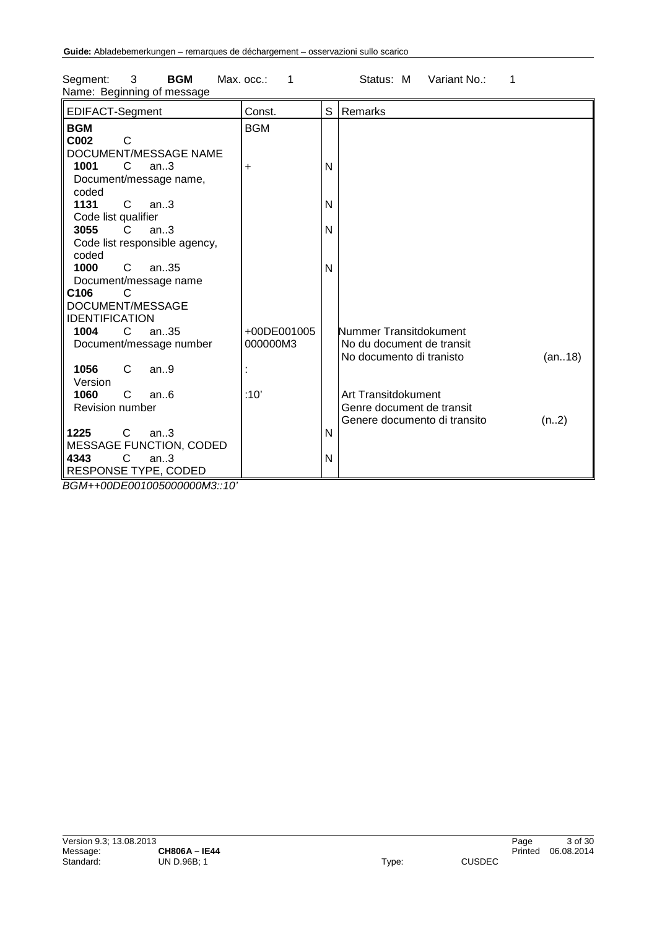| EDIFACT-Segment               | Const.      | S | Remarks                              |
|-------------------------------|-------------|---|--------------------------------------|
| <b>BGM</b>                    | <b>BGM</b>  |   |                                      |
| C002<br>C                     |             |   |                                      |
| DOCUMENT/MESSAGE NAME         |             |   |                                      |
| 1001<br>C<br>an.3             | $\ddot{}$   | N |                                      |
| Document/message name,        |             |   |                                      |
| coded                         |             |   |                                      |
| 1131<br>C<br>an.3             |             | N |                                      |
| Code list qualifier           |             |   |                                      |
| 3055<br>C.<br>an.3            |             | N |                                      |
| Code list responsible agency, |             |   |                                      |
| coded                         |             |   |                                      |
| 1000<br>an35<br>C.            |             | N |                                      |
| Document/message name         |             |   |                                      |
| C <sub>106</sub>              |             |   |                                      |
| DOCUMENT/MESSAGE              |             |   |                                      |
| <b>IDENTIFICATION</b>         |             |   |                                      |
| 1004<br>C<br>an.35            | +00DE001005 |   | Nummer Transitdokument               |
| Document/message number       | 000000M3    |   | No du document de transit            |
|                               |             |   | No documento di tranisto<br>(an18)   |
| 1056<br>C<br>an.9             |             |   |                                      |
| Version                       |             |   |                                      |
| 1060<br>C<br>an.6             | :10'        |   | Art Transitdokument                  |
| <b>Revision number</b>        |             |   | Genre document de transit            |
|                               |             |   | Genere documento di transito<br>(n2) |
| 1225<br>$\mathsf{C}$<br>an.3  |             | N |                                      |
| MESSAGE FUNCTION, CODED       |             |   |                                      |
| 4343<br>C<br>an.3             |             | N |                                      |
| RESPONSE TYPE, CODED          |             |   |                                      |
| BGM++00DE001005000000M3::10'  |             |   |                                      |

Segment: 3 **BGM** Max. occ.: 1 Status: M Variant No.: 1 Name: Beginning of message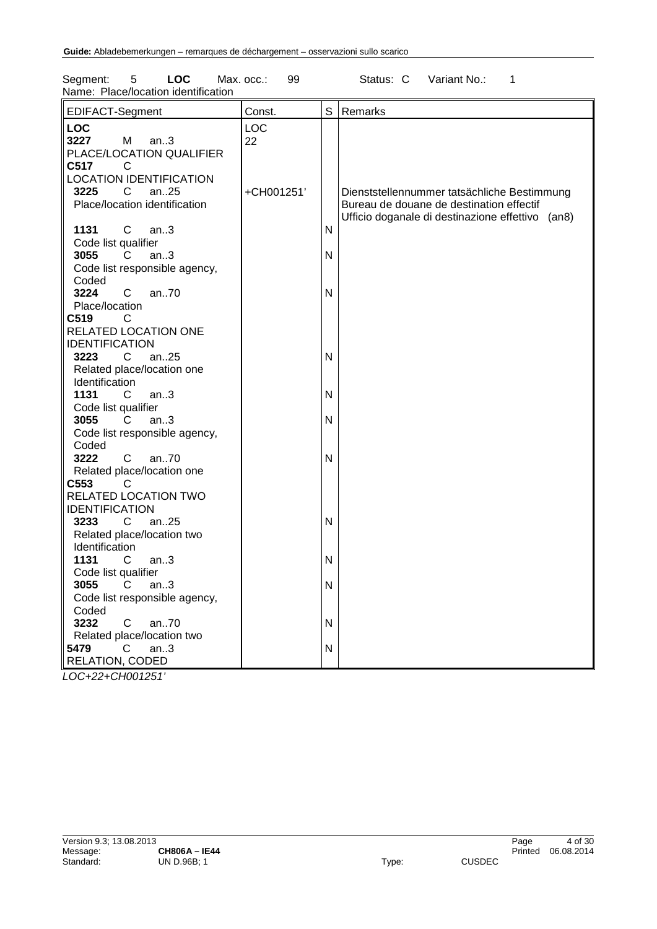| S<br>EDIFACT-Segment<br>Const.<br>Remarks<br><b>LOC</b><br><b>LOC</b><br>3227<br>M<br>an.3<br>22<br>PLACE/LOCATION QUALIFIER<br>C517<br>C<br><b>LOCATION IDENTIFICATION</b><br>3225<br>C<br>an.25<br>+CH001251'<br>Dienststellennummer tatsächliche Bestimmung<br>Place/location identification<br>Bureau de douane de destination effectif<br>Ufficio doganale di destinazione effettivo (an8)<br>1131<br>C<br>an.3<br>N<br>Code list qualifier<br>3055<br>C.<br>an.3<br>N<br>Code list responsible agency,<br>Coded<br>3224<br>C<br>an70<br>N<br>Place/location<br>C519<br>C<br>RELATED LOCATION ONE<br><b>IDENTIFICATION</b><br>3223<br>$\mathsf{C}$<br>an25<br>N<br>Related place/location one<br>Identification<br>1131<br>$\mathsf{N}$<br>C<br>an.3<br>Code list qualifier<br>3055<br>an.3<br>N<br>C<br>Code list responsible agency,<br>Coded<br>an70<br>$\mathsf{N}$<br>3222<br>C<br>Related place/location one<br>C553<br>C<br>RELATED LOCATION TWO<br><b>IDENTIFICATION</b><br>3233<br>$\mathsf{C}$<br>an25<br>N<br>Related place/location two<br>Identification<br>1131<br>C<br>$\mathsf{N}$<br>an.3<br>Code list qualifier<br>3055<br>$\mathsf{N}$<br>C<br>an.3<br>Code list responsible agency,<br>Coded<br>3232<br>an70<br>C<br>N<br>Related place/location two | 5<br><b>LOC</b><br>Segment:<br>Name: Place/location identification | Max. occ.:<br>99 |           | Status: C<br>Variant No.:<br>1 |
|-------------------------------------------------------------------------------------------------------------------------------------------------------------------------------------------------------------------------------------------------------------------------------------------------------------------------------------------------------------------------------------------------------------------------------------------------------------------------------------------------------------------------------------------------------------------------------------------------------------------------------------------------------------------------------------------------------------------------------------------------------------------------------------------------------------------------------------------------------------------------------------------------------------------------------------------------------------------------------------------------------------------------------------------------------------------------------------------------------------------------------------------------------------------------------------------------------------------------------------------------------------------------------|--------------------------------------------------------------------|------------------|-----------|--------------------------------|
|                                                                                                                                                                                                                                                                                                                                                                                                                                                                                                                                                                                                                                                                                                                                                                                                                                                                                                                                                                                                                                                                                                                                                                                                                                                                               |                                                                    |                  |           |                                |
|                                                                                                                                                                                                                                                                                                                                                                                                                                                                                                                                                                                                                                                                                                                                                                                                                                                                                                                                                                                                                                                                                                                                                                                                                                                                               |                                                                    |                  |           |                                |
|                                                                                                                                                                                                                                                                                                                                                                                                                                                                                                                                                                                                                                                                                                                                                                                                                                                                                                                                                                                                                                                                                                                                                                                                                                                                               |                                                                    |                  |           |                                |
|                                                                                                                                                                                                                                                                                                                                                                                                                                                                                                                                                                                                                                                                                                                                                                                                                                                                                                                                                                                                                                                                                                                                                                                                                                                                               |                                                                    |                  |           |                                |
|                                                                                                                                                                                                                                                                                                                                                                                                                                                                                                                                                                                                                                                                                                                                                                                                                                                                                                                                                                                                                                                                                                                                                                                                                                                                               |                                                                    |                  |           |                                |
|                                                                                                                                                                                                                                                                                                                                                                                                                                                                                                                                                                                                                                                                                                                                                                                                                                                                                                                                                                                                                                                                                                                                                                                                                                                                               |                                                                    |                  |           |                                |
|                                                                                                                                                                                                                                                                                                                                                                                                                                                                                                                                                                                                                                                                                                                                                                                                                                                                                                                                                                                                                                                                                                                                                                                                                                                                               |                                                                    |                  |           |                                |
|                                                                                                                                                                                                                                                                                                                                                                                                                                                                                                                                                                                                                                                                                                                                                                                                                                                                                                                                                                                                                                                                                                                                                                                                                                                                               |                                                                    |                  |           |                                |
|                                                                                                                                                                                                                                                                                                                                                                                                                                                                                                                                                                                                                                                                                                                                                                                                                                                                                                                                                                                                                                                                                                                                                                                                                                                                               |                                                                    |                  |           |                                |
|                                                                                                                                                                                                                                                                                                                                                                                                                                                                                                                                                                                                                                                                                                                                                                                                                                                                                                                                                                                                                                                                                                                                                                                                                                                                               |                                                                    |                  |           |                                |
| <b>RELATION, CODED</b>                                                                                                                                                                                                                                                                                                                                                                                                                                                                                                                                                                                                                                                                                                                                                                                                                                                                                                                                                                                                                                                                                                                                                                                                                                                        | 5479<br>C<br>an.3                                                  |                  | ${\sf N}$ |                                |

*LOC+22+CH001251'*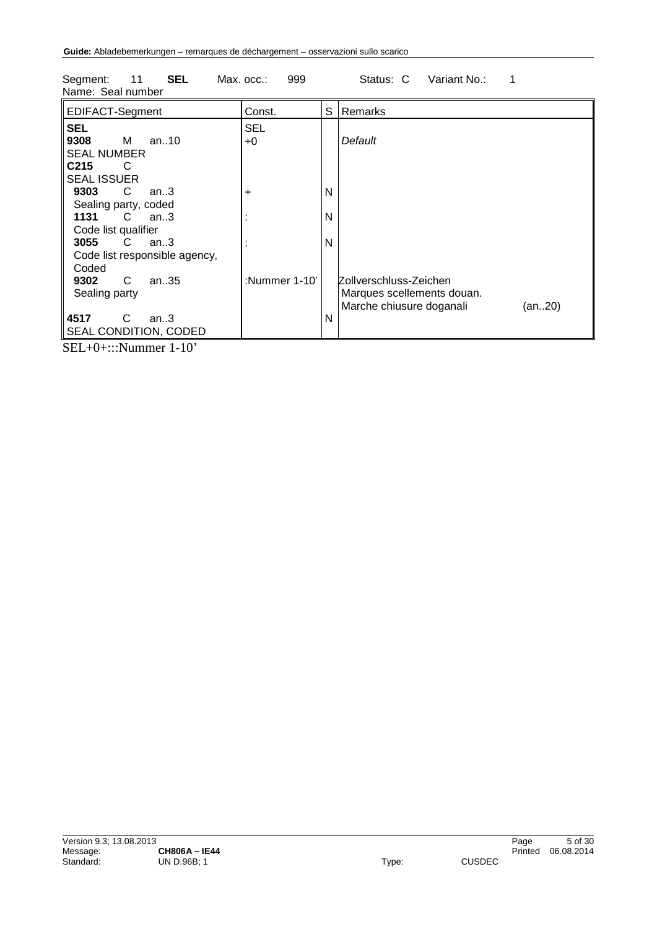| Name: Seal number                                                   |               |   |                                    |
|---------------------------------------------------------------------|---------------|---|------------------------------------|
| EDIFACT-Segment                                                     | Const.        | S | Remarks                            |
| <b>SEL</b>                                                          | <b>SEL</b>    |   |                                    |
| 9308<br>M<br>an10                                                   | $+0$          |   | Default                            |
| <b>SEAL NUMBER</b>                                                  |               |   |                                    |
| C <sub>215</sub><br>C                                               |               |   |                                    |
| <b>SEAL ISSUER</b>                                                  |               |   |                                    |
| 9303<br>C<br>an $3$                                                 | +             | N |                                    |
| Sealing party, coded                                                |               |   |                                    |
| 1131<br>C an3                                                       |               | N |                                    |
| Code list qualifier                                                 |               |   |                                    |
| 3055<br>C.<br>an.3                                                  |               | N |                                    |
| Code list responsible agency,                                       |               |   |                                    |
| Coded                                                               |               |   |                                    |
| C<br>9302<br>an35                                                   | :Nummer 1-10' |   | Zollverschluss-Zeichen             |
| Sealing party                                                       |               |   | Marques scellements douan.         |
|                                                                     |               |   | Marche chiusure doganali<br>(an20) |
| 4517<br>C<br>an.3                                                   |               | N |                                    |
| SEAL CONDITION, CODED                                               |               |   |                                    |
| $\alpha$ $\mathbf{r}$ $\alpha$ $\mathbf{r}$<br>$\sim$ $\sim$ $\sim$ |               |   |                                    |

Segment: 11 **SEL** Max. occ.: 999 Status: C Variant No.: 1

SEL+0+:::Nummer 1-10'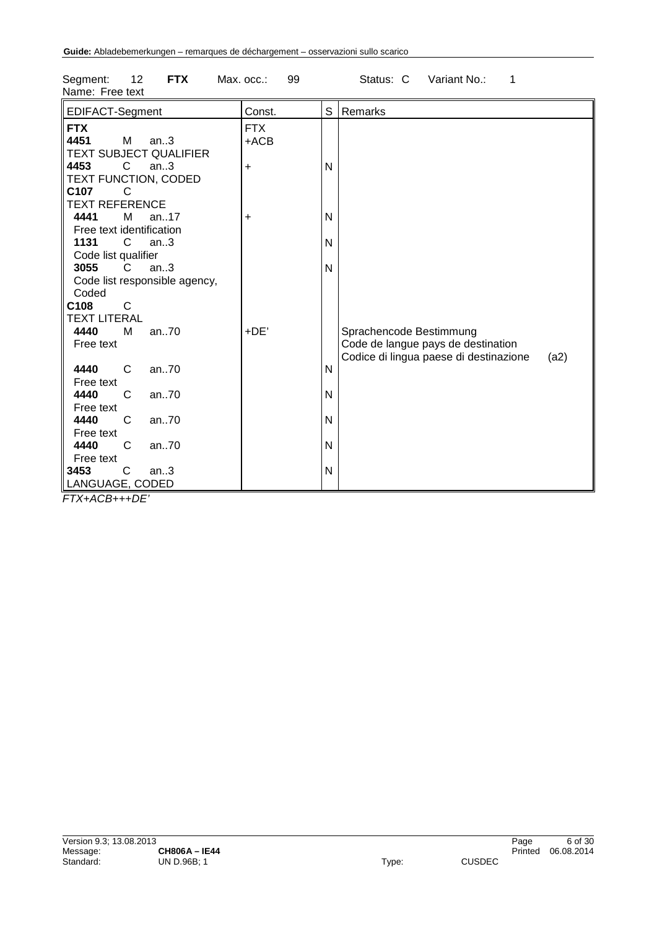| Name: Free text                                                                 |                      |   |                                                                                                                 |
|---------------------------------------------------------------------------------|----------------------|---|-----------------------------------------------------------------------------------------------------------------|
| EDIFACT-Segment                                                                 | Const.               | S | Remarks                                                                                                         |
| <b>FTX</b><br>4451<br>М<br>an.3<br><b>TEXT SUBJECT QUALIFIER</b>                | <b>FTX</b><br>$+ACB$ |   |                                                                                                                 |
| 4453<br>C<br>an.3<br>TEXT FUNCTION, CODED<br>C107<br>C<br><b>TEXT REFERENCE</b> | $\ddot{}$            | N |                                                                                                                 |
| 4441<br>М<br>an. $.17$                                                          | $\ddot{}$            | N |                                                                                                                 |
| Free text identification<br>1131<br>C<br>an.3                                   |                      | N |                                                                                                                 |
| Code list qualifier<br>3055<br>C<br>an.3<br>Code list responsible agency,       |                      | N |                                                                                                                 |
| Coded<br>C108<br>C                                                              |                      |   |                                                                                                                 |
| <b>TEXT LITERAL</b>                                                             |                      |   |                                                                                                                 |
| 4440<br>м<br>an.70<br>Free text                                                 | +DE'                 |   | Sprachencode Bestimmung<br>Code de langue pays de destination<br>Codice di lingua paese di destinazione<br>(a2) |
| 4440<br>C<br>an70<br>Free text                                                  |                      | N |                                                                                                                 |
| 4440<br>an70<br>C<br>Free text                                                  |                      | N |                                                                                                                 |
| 4440<br>C<br>an70<br>Free text                                                  |                      | N |                                                                                                                 |
| 4440<br>C<br>an70<br>Free text                                                  |                      | N |                                                                                                                 |
| 3453<br>C<br>an.3<br>LANGUAGE, CODED                                            |                      | N |                                                                                                                 |

Segment: 12 **FTX** Max. occ.: 99 Status: C Variant No.: 1

*FTX+ACB+++DE'*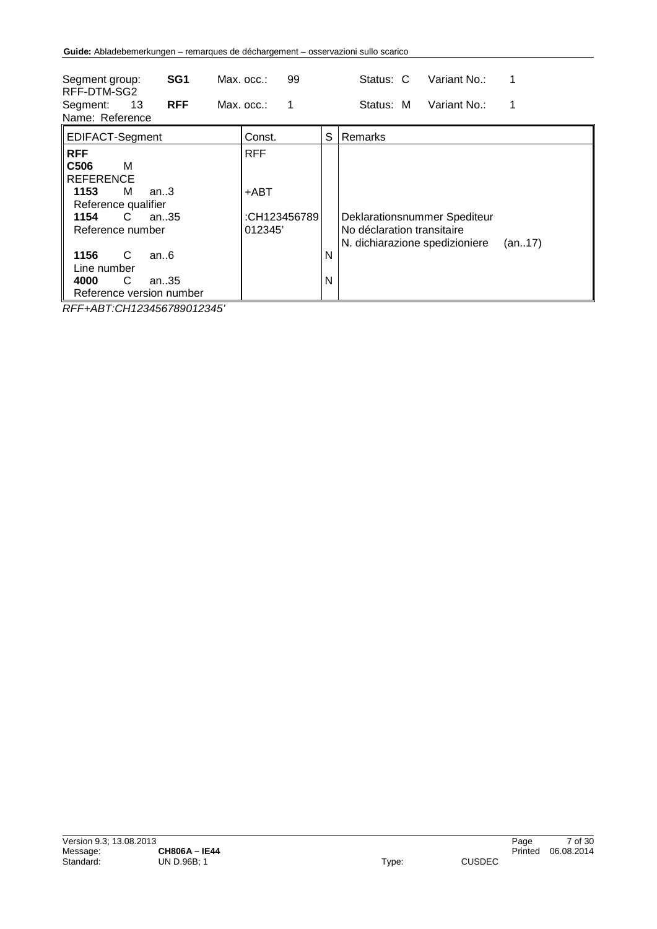| SG <sub>1</sub><br>Segment group:<br>RFF-DTM-SG2<br><b>RFF</b><br>13<br>Segment:<br>Name: Reference                                                                                                                                   | 99<br>Max. occ.:<br>Max. occ.:<br>1           | Variant No.:<br>Status: C<br>1<br>Status: M<br>Variant No.:<br>1                                                 |
|---------------------------------------------------------------------------------------------------------------------------------------------------------------------------------------------------------------------------------------|-----------------------------------------------|------------------------------------------------------------------------------------------------------------------|
| EDIFACT-Segment                                                                                                                                                                                                                       | Const.                                        | S<br>Remarks                                                                                                     |
| <b>RFF</b><br>C <sub>506</sub><br>м<br><b>REFERENCE</b><br>1153<br>м<br>an.3<br>Reference qualifier<br>1154<br>C<br>an $.35$<br>Reference number<br>1156<br>C<br>an.6<br>Line number<br>C<br>4000<br>an35<br>Reference version number | <b>RFF</b><br>+ABT<br>:CH123456789<br>012345' | Deklarationsnummer Spediteur<br>No déclaration transitaire<br>N. dichiarazione spedizioniere<br>(an17)<br>N<br>N |

*RFF+ABT:CH123456789012345'*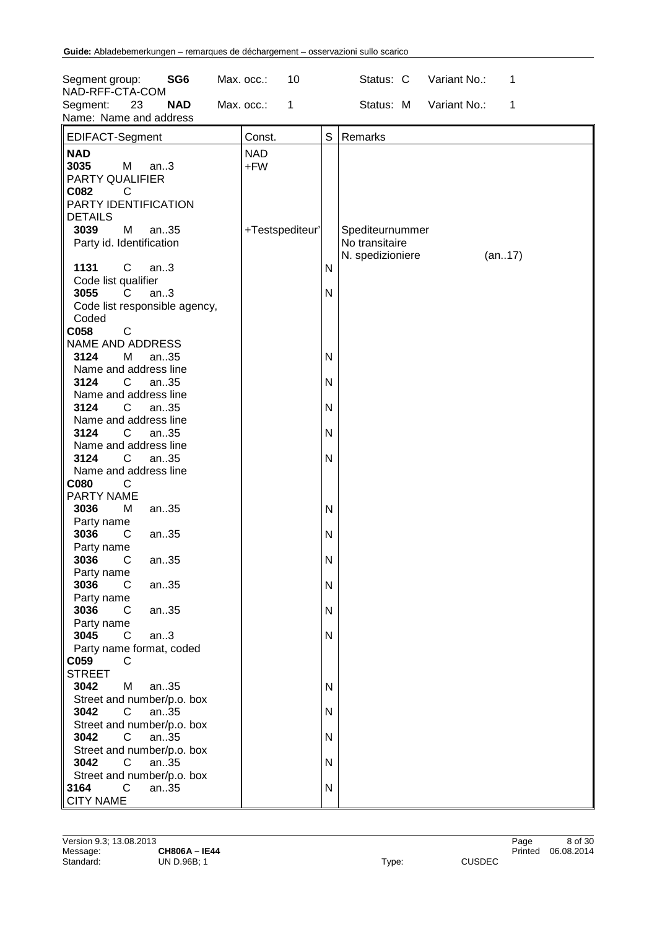| Segment group:<br>SG <sub>6</sub><br>NAD-RFF-CTA-COM                              | Max. occ.:<br>10           |              | Status: C<br>Variant No.:<br>1                                  |
|-----------------------------------------------------------------------------------|----------------------------|--------------|-----------------------------------------------------------------|
| 23<br>Segment:<br><b>NAD</b><br>Name: Name and address                            | Max. occ.:<br>$\mathbf{1}$ |              | Variant No.:<br>Status: M<br>1                                  |
| EDIFACT-Segment                                                                   | Const.                     | S            | Remarks                                                         |
| <b>NAD</b><br>3035<br>M<br>an.3<br>PARTY QUALIFIER<br>C082<br>C                   | <b>NAD</b><br>+FW          |              |                                                                 |
| PARTY IDENTIFICATION<br><b>DETAILS</b>                                            |                            |              |                                                                 |
| M<br>3039<br>an35<br>Party id. Identification                                     | +Testspediteur'            |              | Spediteurnummer<br>No transitaire<br>N. spedizioniere<br>(an17) |
| C<br>1131<br>an.3<br>Code list qualifier                                          |                            | N            |                                                                 |
| 3055<br>an.3<br>C.<br>Code list responsible agency,<br>Coded                      |                            | N            |                                                                 |
| $\mathsf{C}$<br>C058<br><b>NAME AND ADDRESS</b><br>M<br>3124<br>an35              |                            | N            |                                                                 |
| Name and address line<br>3124<br>$\mathsf{C}^-$<br>an35                           |                            | N            |                                                                 |
| Name and address line<br>3124<br>$\mathsf{C}$<br>an35                             |                            | N            |                                                                 |
| Name and address line<br>3124<br>C.<br>an35<br>Name and address line              |                            | N            |                                                                 |
| 3124<br>C.<br>an35<br>Name and address line                                       |                            | N            |                                                                 |
| C080<br>C<br>PARTY NAME<br>M<br>3036<br>an35                                      |                            | $\mathsf{N}$ |                                                                 |
| Party name<br>3036<br>an35<br>C                                                   |                            | N            |                                                                 |
| Party name<br>3036<br>an35<br>C.<br>Party name                                    |                            | N            |                                                                 |
| 3036<br>an35<br>C<br>Party name                                                   |                            | N            |                                                                 |
| 3036<br>C<br>an35<br>Party name<br>3045<br>$\mathsf{C}$<br>an.3                   |                            | N<br>N       |                                                                 |
| Party name format, coded<br>C059<br>C                                             |                            |              |                                                                 |
| <b>STREET</b><br>3042<br>M<br>an35                                                |                            | N            |                                                                 |
| Street and number/p.o. box<br>3042<br>C<br>an35<br>Street and number/p.o. box     |                            | N            |                                                                 |
| 3042<br>an35<br>C<br>Street and number/p.o. box                                   |                            | N            |                                                                 |
| 3042<br>an35<br>C<br>Street and number/p.o. box<br>3164<br>$\overline{C}$<br>an35 |                            | N<br>N       |                                                                 |
| <b>CITY NAME</b>                                                                  |                            |              |                                                                 |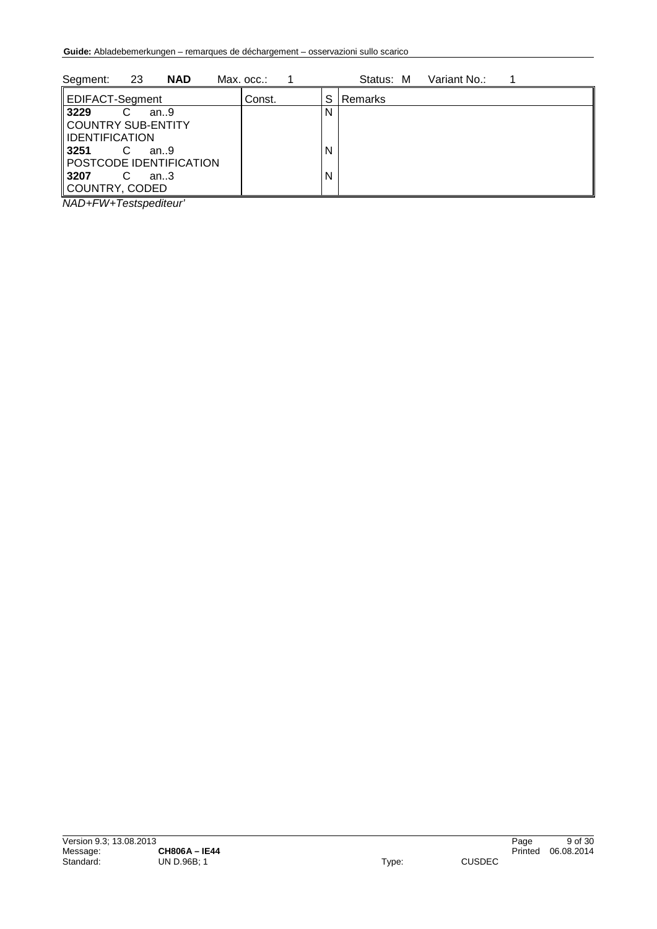| 23<br><b>NAD</b><br>Segment:                 | Max. occ.: |   | Status: M      | Variant No.: |  |
|----------------------------------------------|------------|---|----------------|--------------|--|
| <b>EDIFACT-Segment</b>                       | Const.     | S | <b>Remarks</b> |              |  |
| 3229<br>C<br>an.9                            |            | N |                |              |  |
| COUNTRY SUB-ENTITY                           |            |   |                |              |  |
| <b>IDENTIFICATION</b>                        |            |   |                |              |  |
| 3251<br>C<br>an.9<br>POSTCODE IDENTIFICATION |            | N |                |              |  |
| 3207<br>C<br>an.3                            |            | N |                |              |  |
| <b>COUNTRY, CODED</b>                        |            |   |                |              |  |

*NAD+FW+Testspediteur'*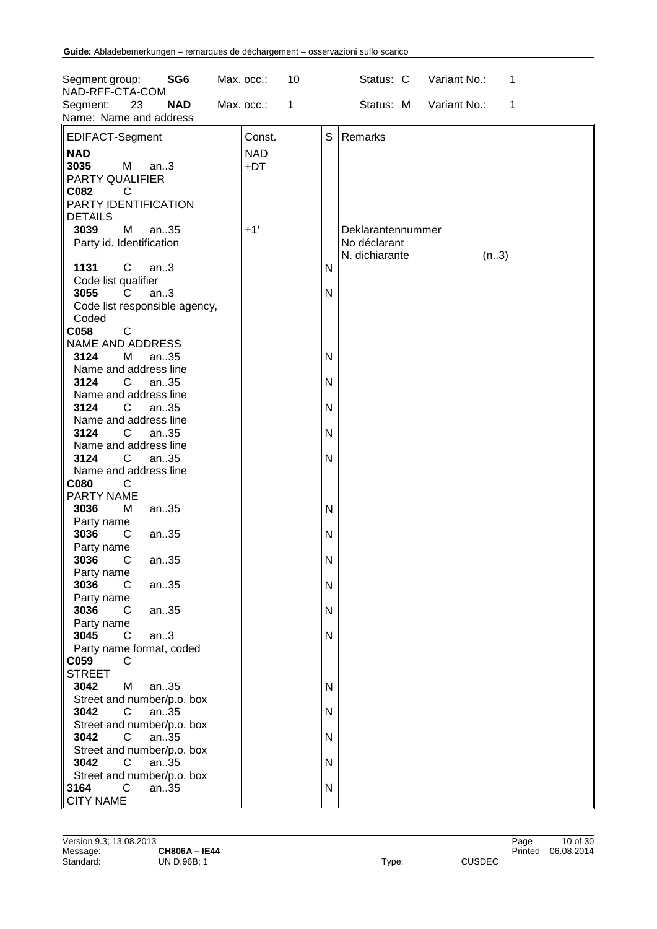| Segment group:<br>SG <sub>6</sub><br>NAD-RFF-CTA-COM                                    | Max. occ.:<br>10           | Variant No.:<br>Status: C<br>1                              |
|-----------------------------------------------------------------------------------------|----------------------------|-------------------------------------------------------------|
| 23<br>Segment:<br><b>NAD</b><br>Name: Name and address                                  | Max. occ.:<br>$\mathbf{1}$ | Status: M Variant No.:<br>$\mathbf{1}$                      |
| EDIFACT-Segment                                                                         | Const.                     | S<br>Remarks                                                |
| <b>NAD</b><br>3035<br>M<br>an.3<br>PARTY QUALIFIER<br>C082<br>C<br>PARTY IDENTIFICATION | <b>NAD</b><br>+DT          |                                                             |
| <b>DETAILS</b><br>3039<br>M<br>an35<br>Party id. Identification                         | $+1'$                      | Deklarantennummer<br>No déclarant<br>N. dichiarante<br>(n3) |
| 1131<br>C<br>an.3<br>Code list qualifier                                                |                            | N                                                           |
| an.3<br>3055<br>C.<br>Code list responsible agency,<br>Coded                            |                            | N                                                           |
| $\mathsf{C}$<br>C058<br>NAME AND ADDRESS                                                |                            |                                                             |
| 3124<br>М<br>an35<br>Name and address line<br>3124<br>$\mathsf{C}$<br>an35              |                            | N<br>N                                                      |
| Name and address line<br>3124<br>$\mathsf{C}^-$<br>an35                                 |                            | N                                                           |
| Name and address line<br>3124<br>C<br>an35                                              |                            | N                                                           |
| Name and address line<br>3124<br>C.<br>an35<br>Name and address line                    |                            | N                                                           |
| C080<br>C<br>PARTY NAME                                                                 |                            |                                                             |
| 3036<br>М<br>an35<br>Party name<br>3036<br>C<br>an35                                    |                            | N<br>N                                                      |
| Party name<br>3036<br>an35<br>$\mathsf{C}$                                              |                            | N                                                           |
| Party name<br>3036<br>an35<br>C<br>Party name                                           |                            | N                                                           |
| 3036<br>an35<br>C<br>Party name                                                         |                            | N                                                           |
| 3045<br>an.3<br>C.<br>Party name format, coded<br>C059<br>$\overline{C}$                |                            | N                                                           |
| <b>STREET</b><br>3042<br>M<br>an35                                                      |                            | $\mathsf{N}$                                                |
| Street and number/p.o. box<br>3042<br>C<br>an35<br>Street and number/p.o. box           |                            | N                                                           |
| 3042<br>an35<br>$\mathsf{C}$<br>Street and number/p.o. box                              |                            | N                                                           |
| 3042<br>an35<br>C<br>Street and number/p.o. box                                         |                            | N                                                           |
| 3164<br>$\overline{C}$<br>an35<br><b>CITY NAME</b>                                      |                            | N                                                           |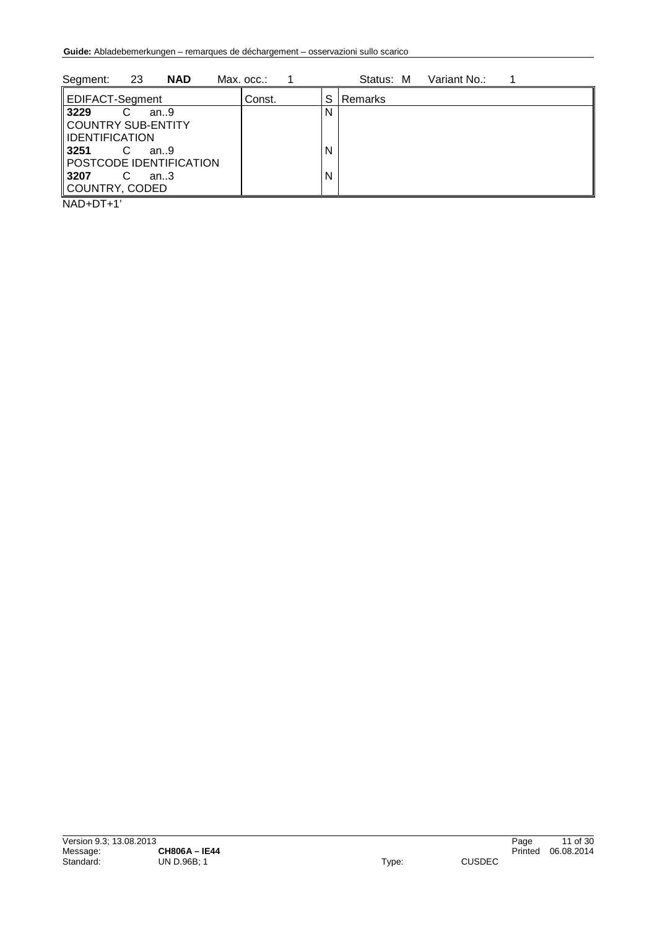| 23<br>Segment:<br><b>NAD</b> | Max. occ.: |   | Variant No.:<br>Status: M |
|------------------------------|------------|---|---------------------------|
| EDIFACT-Segment              | Const.     | S | Remarks                   |
| 3229<br>an.9                 |            | N |                           |
| COUNTRY SUB-ENTITY           |            |   |                           |
| IDENTIFICATION               |            |   |                           |
| 3251<br>an.9                 |            | N |                           |
| POSTCODE IDENTIFICATION      |            |   |                           |
| 3207<br>an.3                 |            | N |                           |
| COUNTRY, CODED               |            |   |                           |
|                              |            |   |                           |

NAD+DT+1'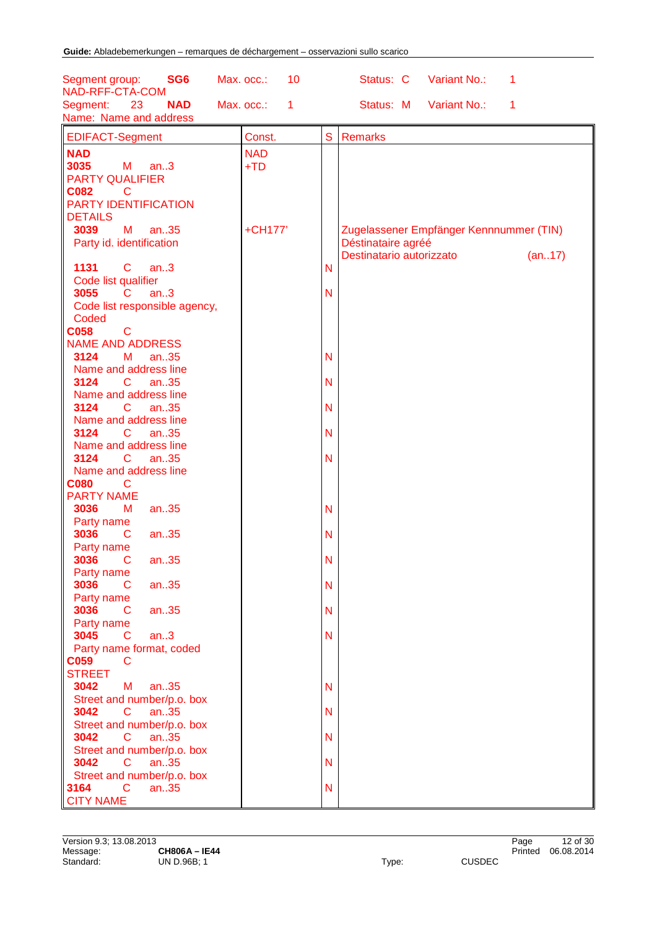| Segment group:<br>SG <sub>6</sub>               | Max. occ.:<br>10 |   | Variant No.:<br>Status: C<br>1            |
|-------------------------------------------------|------------------|---|-------------------------------------------|
| NAD-RFF-CTA-COM<br><b>NAD</b><br>23<br>Segment: | Max. occ.:<br>1  |   | Status: M<br>Variant No.:<br>$\mathbf{1}$ |
| Name: Name and address                          |                  |   |                                           |
| <b>EDIFACT-Segment</b>                          | Const.           | S | <b>Remarks</b>                            |
| <b>NAD</b>                                      | <b>NAD</b>       |   |                                           |
| 3035<br>M<br>an.3                               | $+TD$            |   |                                           |
| <b>PARTY QUALIFIER</b>                          |                  |   |                                           |
| <b>C082</b><br>C                                |                  |   |                                           |
| PARTY IDENTIFICATION                            |                  |   |                                           |
| <b>DETAILS</b>                                  |                  |   |                                           |
| an35<br>3039<br>М                               | +CH177'          |   | Zugelassener Empfänger Kennnummer (TIN)   |
| Party id. identification                        |                  |   | Déstinataire agréé                        |
|                                                 |                  |   | Destinatario autorizzato<br>(an17)        |
| $\mathbf C$<br>1131<br>an.3                     |                  | N |                                           |
| Code list qualifier<br>3055<br>C<br>an.3        |                  | N |                                           |
| Code list responsible agency,                   |                  |   |                                           |
| Coded                                           |                  |   |                                           |
| <b>C058</b><br>$\mathbf C$                      |                  |   |                                           |
| <b>NAME AND ADDRESS</b>                         |                  |   |                                           |
| 3124<br>М<br>an.35                              |                  | N |                                           |
| Name and address line                           |                  |   |                                           |
| 3124<br>an.35<br>C                              |                  | N |                                           |
| Name and address line                           |                  |   |                                           |
| 3124<br>C<br>an.35                              |                  | N |                                           |
| Name and address line                           |                  |   |                                           |
| 3124<br>C<br>an.35                              |                  | N |                                           |
| Name and address line                           |                  |   |                                           |
| 3124<br>C.<br>an35                              |                  | N |                                           |
| Name and address line                           |                  |   |                                           |
| <b>C080</b><br>C                                |                  |   |                                           |
| <b>PARTY NAME</b><br>an35<br>3036               |                  | N |                                           |
| М<br>Party name                                 |                  |   |                                           |
| 3036<br>an35<br>C                               |                  | N |                                           |
| Party name                                      |                  |   |                                           |
| 3036<br>C<br>an35                               |                  | N |                                           |
| Party name                                      |                  |   |                                           |
| 3036<br>an35<br>$\mathsf{C}$                    |                  | N |                                           |
| Party name                                      |                  |   |                                           |
| 3036<br>an35<br>C                               |                  | N |                                           |
| Party name                                      |                  |   |                                           |
| 3045<br>an.3<br>C                               |                  | N |                                           |
| Party name format, coded                        |                  |   |                                           |
| <b>C059</b><br><sub>C</sub>                     |                  |   |                                           |
| <b>STREET</b><br>М<br>an.35                     |                  | N |                                           |
| 3042<br>Street and number/p.o. box              |                  |   |                                           |
| 3042<br>an.35<br>C                              |                  | N |                                           |
| Street and number/p.o. box                      |                  |   |                                           |
| 3042<br>$\mathsf{C}$<br>an.35                   |                  | N |                                           |
| Street and number/p.o. box                      |                  |   |                                           |
| 3042<br>$\mathsf{C}$<br>an.35                   |                  | N |                                           |
| Street and number/p.o. box                      |                  |   |                                           |
| $\mathsf{C}$<br>3164<br>an.35                   |                  | N |                                           |
| <b>CITY NAME</b>                                |                  |   |                                           |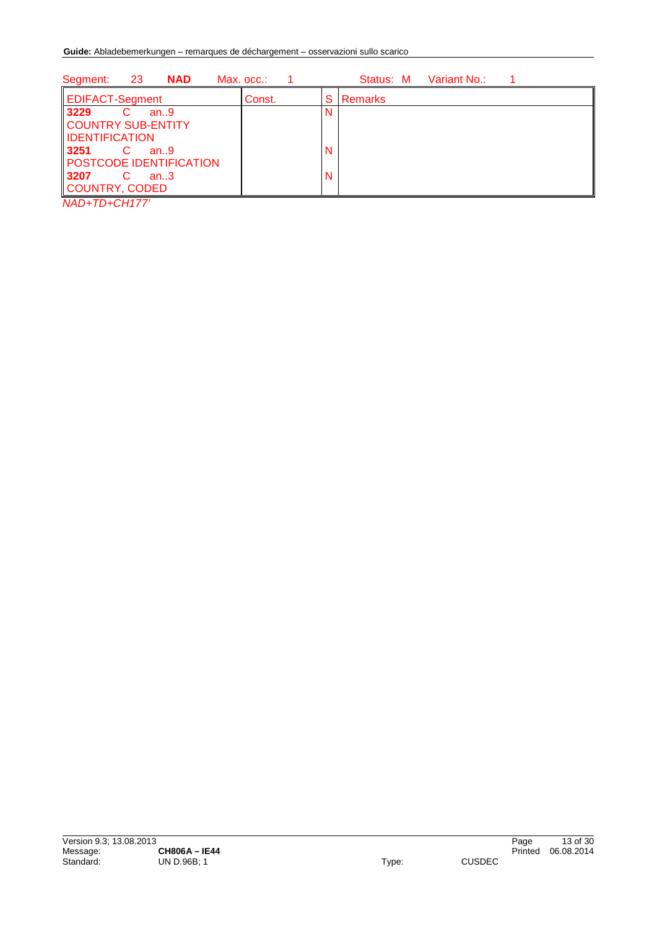| 23<br><b>NAD</b><br>Segment:   | Max. occ.: |   | Variant No.:<br>Status: M |
|--------------------------------|------------|---|---------------------------|
| <b>EDIFACT-Segment</b>         | Const.     | S | Remarks                   |
| 3229<br>C<br>an.9              |            |   |                           |
| <b>COUNTRY SUB-ENTITY</b>      |            |   |                           |
| <b>IDENTIFICATION</b>          |            |   |                           |
| 3251<br>C<br>an.9              |            | N |                           |
| <b>POSTCODE IDENTIFICATION</b> |            |   |                           |
| 3207<br>C<br>an.3              |            | N |                           |
| COUNTRY, CODED                 |            |   |                           |
| . <del>.</del>                 |            |   |                           |

*NAD+TD+CH177'*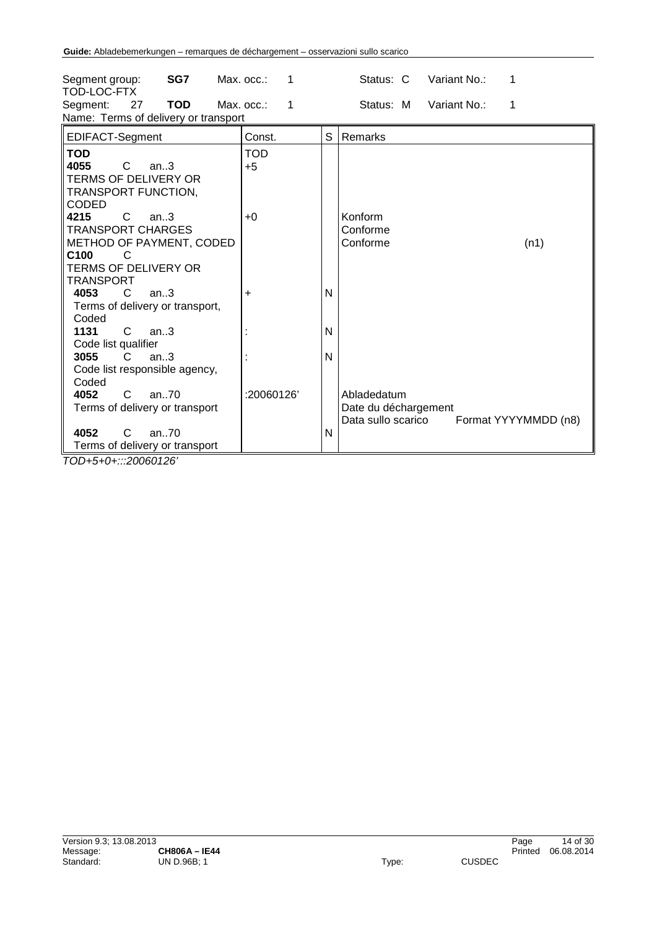| SG7<br>Segment group:<br>TOD-LOC-FTX                                                                                                                  | Max. occ.:<br>1              |   | Variant No.:<br>Status: C                                 | 1                    |
|-------------------------------------------------------------------------------------------------------------------------------------------------------|------------------------------|---|-----------------------------------------------------------|----------------------|
| <b>TOD</b><br>27<br>Segment:<br>Name: Terms of delivery or transport                                                                                  | Max. occ.:<br>$\overline{1}$ |   | Status: M<br>Variant No.:                                 | 1                    |
| EDIFACT-Segment                                                                                                                                       | Const.                       | S | Remarks                                                   |                      |
| <b>TOD</b><br>4055<br>C<br>an.3<br><b>TERMS OF DELIVERY OR</b><br>TRANSPORT FUNCTION,<br>CODED                                                        | <b>TOD</b><br>$+5$           |   |                                                           |                      |
| 4215<br>C<br>an.3<br><b>TRANSPORT CHARGES</b><br>METHOD OF PAYMENT, CODED<br>C <sub>100</sub><br>C<br><b>TERMS OF DELIVERY OR</b><br><b>TRANSPORT</b> | $+0$                         |   | Konform<br>Conforme<br>Conforme                           | (n1)                 |
| 4053<br>an.3<br>C.<br>Terms of delivery or transport,<br>Coded                                                                                        | +                            | N |                                                           |                      |
| 1131<br>C<br>an.3<br>Code list qualifier                                                                                                              |                              | N |                                                           |                      |
| 3055<br>$\mathcal{C}$<br>an.3<br>Code list responsible agency,<br>Coded                                                                               |                              | N |                                                           |                      |
| $\mathsf{C}$<br>4052<br>an.70<br>Terms of delivery or transport                                                                                       | :20060126'                   |   | Abladedatum<br>Date du déchargement<br>Data sullo scarico | Format YYYYMMDD (n8) |
| 4052<br>C<br>an.70<br>Terms of delivery or transport                                                                                                  |                              | N |                                                           |                      |

*TOD+5+0+:::20060126'*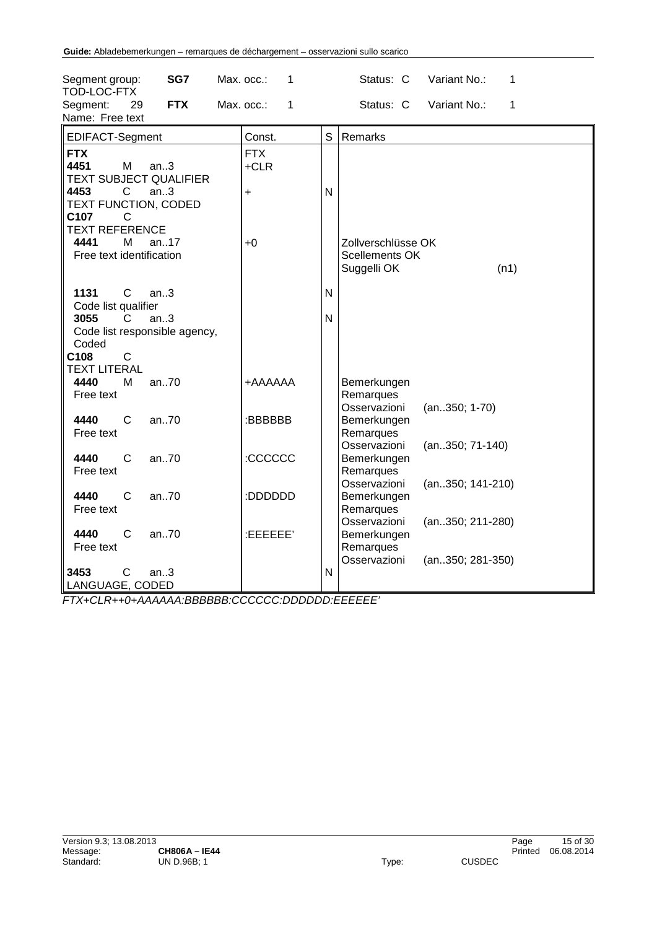| SG7<br>Segment group:<br>TOD-LOC-FTX                                                                                                                | Max. occ.:<br>1                   | Status: C<br>Variant No.:<br>1                                                                       |
|-----------------------------------------------------------------------------------------------------------------------------------------------------|-----------------------------------|------------------------------------------------------------------------------------------------------|
| 29<br><b>FTX</b><br>Segment:<br>Name: Free text                                                                                                     | Max. occ.:<br>1                   | Status: C<br>Variant No.:<br>1                                                                       |
| EDIFACT-Segment                                                                                                                                     | Const.                            | S<br>Remarks                                                                                         |
| <b>FTX</b><br>4451<br>M<br>an.3<br><b>TEXT SUBJECT QUALIFIER</b><br>4453<br>C<br>an.3<br>TEXT FUNCTION, CODED<br>C107<br>С<br><b>TEXT REFERENCE</b> | <b>FTX</b><br>$+CLR$<br>$\ddot{}$ | N                                                                                                    |
| 4441<br>M<br>an.17<br>Free text identification                                                                                                      | $+0$                              | Zollverschlüsse OK<br>Scellements OK<br>Suggelli OK<br>(n1)                                          |
| $\mathsf{C}$<br>1131<br>an.3<br>Code list qualifier                                                                                                 |                                   | N                                                                                                    |
| 3055<br>an.3<br>C.<br>Code list responsible agency,<br>Coded<br>C108<br>$\mathsf{C}$                                                                |                                   | N                                                                                                    |
| <b>TEXT LITERAL</b>                                                                                                                                 |                                   |                                                                                                      |
| 4440<br>an70<br>M<br>Free text                                                                                                                      | <b>+AAAAAA</b>                    | Bemerkungen<br>Remarques<br>Osservazioni<br>$(an350; 1-70)$                                          |
| an70<br>4440<br>C<br>Free text                                                                                                                      | :BBBBBB                           | Bemerkungen<br>Remarques<br>Osservazioni                                                             |
| $\mathsf{C}$<br>an70<br>4440<br>Free text                                                                                                           | :CCCCCC                           | (an350; 71-140)<br>Bemerkungen<br>Remarques                                                          |
| 4440<br>C<br>an70<br>Free text                                                                                                                      | :DDDDDD                           | Osservazioni<br>(an350; 141-210)<br>Bemerkungen<br>Remarques                                         |
| 4440<br>an.70<br>C<br>Free text                                                                                                                     | :EEEEEE'                          | Osservazioni<br>(an350; 211-280)<br>Bemerkungen<br>Remarques<br>Osservazioni<br>(an. . 350; 281-350) |
| 3453<br>С<br>an.3<br>LANGUAGE, CODED                                                                                                                |                                   | N                                                                                                    |

*FTX+CLR++0+AAAAAA:BBBBBB:CCCCCC:DDDDDD:EEEEEE'*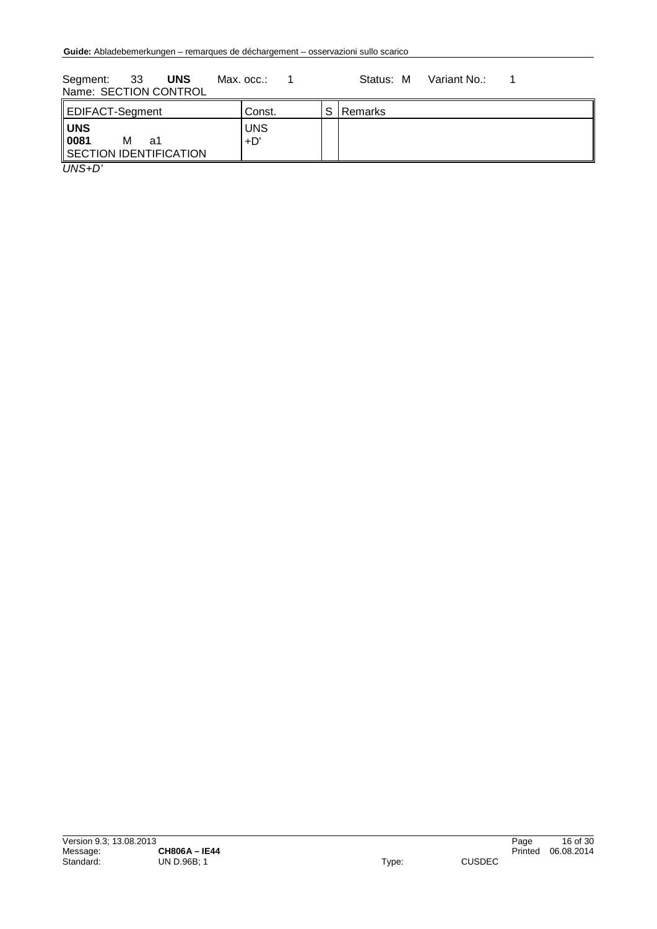Segment: 33 **UNS** Max. occ.: 1 Status: M Variant No.: 1 Name: SECTION CONTROL

| EDIFACT-Segment                                         | Const.            | S Remarks |
|---------------------------------------------------------|-------------------|-----------|
| <b>UNS</b><br>0081<br>м<br>a1<br>SECTION IDENTIFICATION | <b>UNS</b><br>+D' |           |
| $\overline{\phantom{a}}$                                |                   |           |

*UNS+D'*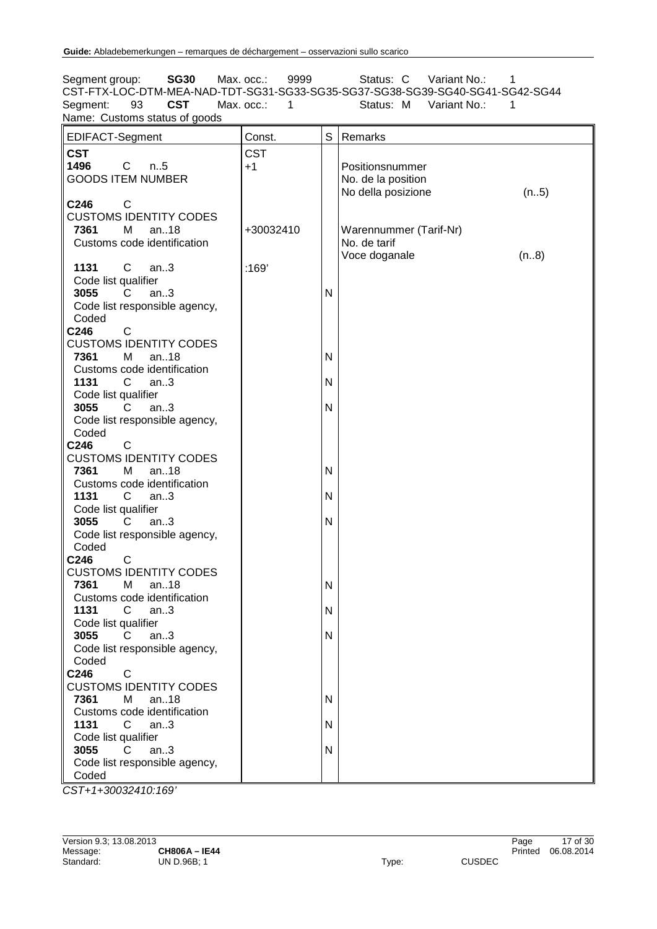Segment group: **SG30** Max. occ.: 9999 Status: C Variant No.: 1 CST-FTX-LOC-DTM-MEA-NAD-TDT-SG31-SG33-SG35-SG37-SG38-SG39-SG40-SG41-SG42-SG44 Segment: 93 **CST** Max. occ.: 1 Status: M Variant No.: 1 Name: Customs status of goods

| EDIFACT-Segment                        | Const.     | S | Remarks                    |
|----------------------------------------|------------|---|----------------------------|
| <b>CST</b>                             | <b>CST</b> |   |                            |
| 1496<br>$\mathbf{C}$<br>n.5            | $+1$       |   | Positionsnummer            |
| <b>GOODS ITEM NUMBER</b>               |            |   | No. de la position         |
|                                        |            |   | No della posizione<br>(n5) |
| C246<br>C                              |            |   |                            |
| <b>CUSTOMS IDENTITY CODES</b>          |            |   |                            |
| 7361<br>M<br>an $.18$                  | +30032410  |   | Warennummer (Tarif-Nr)     |
| Customs code identification            |            |   | No. de tarif               |
|                                        |            |   | Voce doganale<br>(n8)      |
| $\mathsf{C}$<br>1131<br>an.3           | :169'      |   |                            |
| Code list qualifier                    |            |   |                            |
| 3055<br>$\overline{C}$<br>an.3         |            | N |                            |
| Code list responsible agency,          |            |   |                            |
| Coded                                  |            |   |                            |
| C246<br>C                              |            |   |                            |
| <b>CUSTOMS IDENTITY CODES</b>          |            |   |                            |
| 7361<br>M<br>an $.18$                  |            | N |                            |
| Customs code identification            |            |   |                            |
| 1131<br>an.3<br>C.                     |            | N |                            |
| Code list qualifier                    |            |   |                            |
| 3055<br>$\overline{C}$<br>an $3$       |            | N |                            |
| Code list responsible agency,          |            |   |                            |
| Coded                                  |            |   |                            |
| $\mathsf{C}$<br>C246                   |            |   |                            |
| <b>CUSTOMS IDENTITY CODES</b>          |            |   |                            |
| 7361<br>M<br>an18                      |            | N |                            |
| Customs code identification            |            |   |                            |
| 1131<br>$\mathsf{C}$<br>an.3           |            | N |                            |
| Code list qualifier                    |            |   |                            |
| an.3<br>3055<br>C.                     |            | N |                            |
| Code list responsible agency,          |            |   |                            |
| Coded                                  |            |   |                            |
| C246<br>$\mathsf{C}$                   |            |   |                            |
| <b>CUSTOMS IDENTITY CODES</b>          |            |   |                            |
| 7361<br>M<br>an18                      |            | N |                            |
| Customs code identification            |            |   |                            |
| 1131<br>C<br>an.3                      |            | N |                            |
| Code list qualifier<br>3055<br>C       |            |   |                            |
| an.3                                   |            | N |                            |
| Code list responsible agency,<br>Coded |            |   |                            |
| C246<br>$\mathsf{C}$                   |            |   |                            |
| <b>CUSTOMS IDENTITY CODES</b>          |            |   |                            |
| 7361<br>an18<br>М                      |            | N |                            |
| Customs code identification            |            |   |                            |
| 1131<br>$\mathsf{C}$<br>an.3           |            | N |                            |
| Code list qualifier                    |            |   |                            |
| 3055<br>C<br>an.3                      |            | N |                            |
| Code list responsible agency,          |            |   |                            |
| Coded                                  |            |   |                            |
|                                        |            |   |                            |

*CST+1+30032410:169'*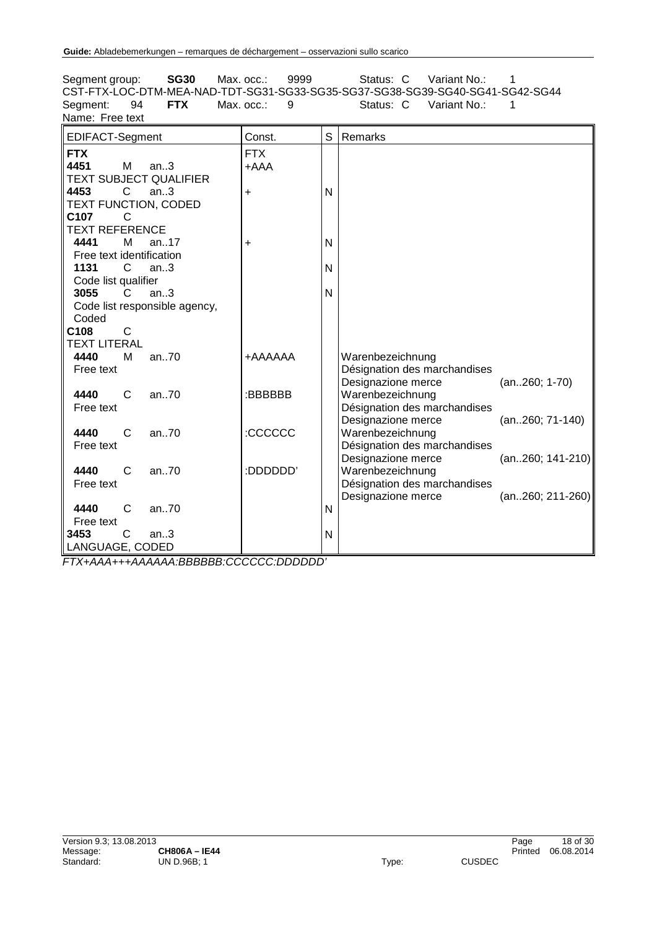Segment group: **SG30** Max. occ.: 9999 Status: C Variant No.: 1 CST-FTX-LOC-DTM-MEA-NAD-TDT-SG31-SG33-SG35-SG37-SG38-SG39-SG40-SG41-SG42-SG44 Segment: 94 **FTX** Max. occ.: 9 Status: C Variant No.: 1 Name: Free text

| EDIFACT-Segment                | Const.         | S | Remarks                                            |                    |
|--------------------------------|----------------|---|----------------------------------------------------|--------------------|
| <b>FTX</b>                     | <b>FTX</b>     |   |                                                    |                    |
| 4451<br>м<br>an.3              | +AAA           |   |                                                    |                    |
| <b>TEXT SUBJECT QUALIFIER</b>  |                |   |                                                    |                    |
| 4453<br>$\overline{C}$<br>an.3 | +              | N |                                                    |                    |
| TEXT FUNCTION, CODED           |                |   |                                                    |                    |
| C <sub>107</sub><br>C          |                |   |                                                    |                    |
| <b>TEXT REFERENCE</b>          |                |   |                                                    |                    |
| 4441<br>м<br>an17              | +              | N |                                                    |                    |
| Free text identification       |                |   |                                                    |                    |
| 1131<br>C<br>an.3              |                | N |                                                    |                    |
| Code list qualifier            |                |   |                                                    |                    |
| 3055<br>an.3<br>C              |                | N |                                                    |                    |
| Code list responsible agency,  |                |   |                                                    |                    |
| Coded                          |                |   |                                                    |                    |
| $\mathsf{C}$<br>C108           |                |   |                                                    |                    |
| <b>TEXT LITERAL</b>            |                |   |                                                    |                    |
| 4440<br>M<br>an.70             | <b>AAAAAA+</b> |   | Warenbezeichnung                                   |                    |
| Free text                      |                |   | Désignation des marchandises                       |                    |
| 4440<br>C                      |                |   | Designazione merce                                 | $(an260; 1-70)$    |
| an.70<br>Free text             | :BBBBBB        |   | Warenbezeichnung                                   |                    |
|                                |                |   | Désignation des marchandises<br>Designazione merce | $(an260; 71-140)$  |
| 4440<br>C<br>an.70             | :CCCCCC        |   | Warenbezeichnung                                   |                    |
| Free text                      |                |   | Désignation des marchandises                       |                    |
|                                |                |   | Designazione merce                                 | $(an260; 141-210)$ |
| 4440<br>C<br>an70              | :DDDDDD"       |   | Warenbezeichnung                                   |                    |
| Free text                      |                |   | Désignation des marchandises                       |                    |
|                                |                |   | Designazione merce                                 | $(an260; 211-260)$ |
| 4440<br>an70<br>C              |                | N |                                                    |                    |
| Free text                      |                |   |                                                    |                    |
| 3453<br>C<br>an.3              |                | N |                                                    |                    |
| LANGUAGE, CODED                |                |   |                                                    |                    |

*FTX+AAA+++AAAAAA:BBBBBB:CCCCCC:DDDDDD'*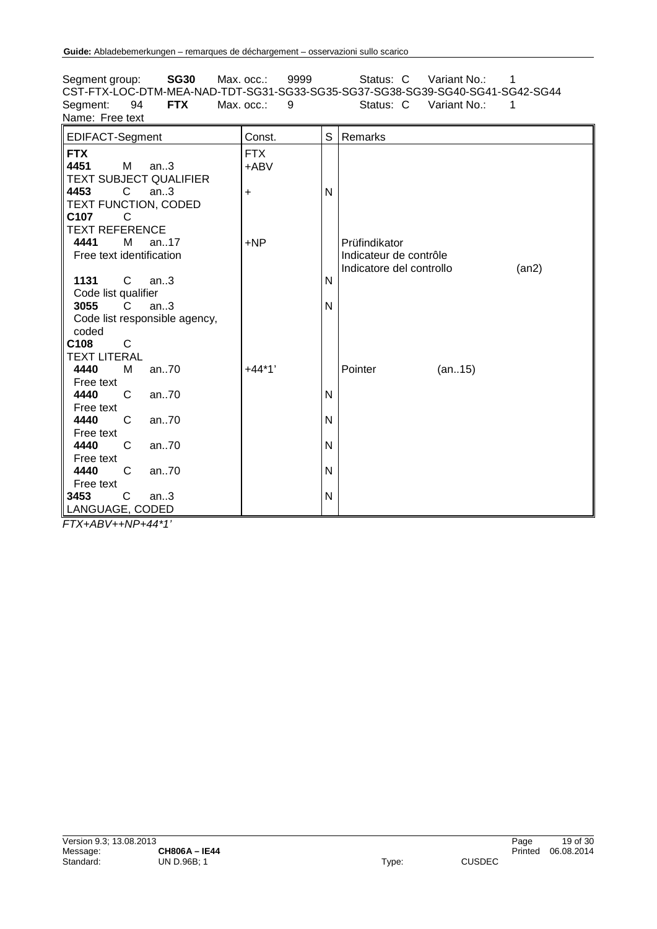Segment group: **SG30** Max. occ.: 9999 Status: C Variant No.: 1 CST-FTX-LOC-DTM-MEA-NAD-TDT-SG31-SG33-SG35-SG37-SG38-SG39-SG40-SG41-SG42-SG44 Segment: 94 **FTX** Max. occ.: 9 Status: C Variant No.: 1 Name: Free text EDIFACT-Segment Const. S Remarks **FTX** FTX **4451** M an..3 TEXT SUBJECT QUALIFIER<br>4453 C an..3 +ABV **4453** C an..3 TEXT FUNCTION, CODED<br>C107 C + N **C107** C TEXT REFERENCE<br>4441 M an. **4441** M an..17 Free text identification +NP | Prüfindikator Indicateur de contrôle Indicatore del controllo (an2) **1131** C an..3 Code list qualifier<br>3055 C ar N **3055** C an..3 Code list responsible agency, coded N **C108** C TEXT LITERAL<br>4440 M **4440** M an..70 Free text<br>4440 +44\*1' Pointer (an..15) **4440** C an..70 Free text<br>4440 N **4440** C an..70 Free text<br>4440 N **4440** C an..70 Free text<br>4440 N **4440** C an..70 Free text N **3453** C an..3 LANGUAGE, CODED N

*FTX+ABV++NP+44\*1'*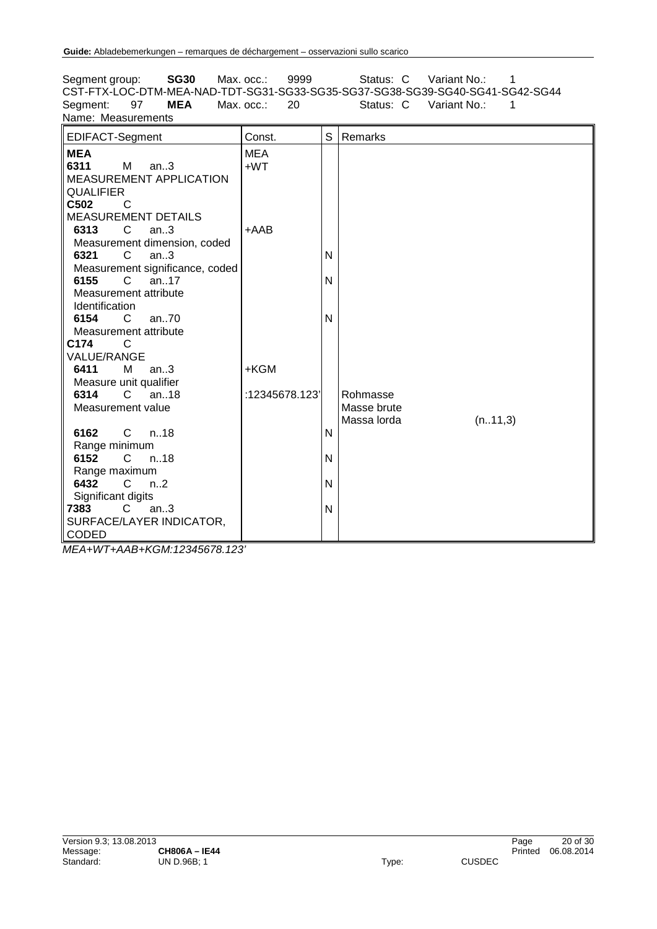Segment group: **SG30** Max. occ.: 9999 Status: C Variant No.: 1 CST-FTX-LOC-DTM-MEA-NAD-TDT-SG31-SG33-SG35-SG37-SG38-SG39-SG40-SG41-SG42-SG44 Segment: 97 **MEA** Max. occ.: 20 Status: C Variant No.: 1 Name: Measurements EDIFACT-Segment Const. S Remarks **MEA** MEA **6311** M an..3 MEASUREMENT APPLICATION **QUALIFIER** +WT **C502** C MEASUREMENT DETAILS<br>6313 C an..3 **an..3** Measurement dimension, coded<br>6321 C an..3 +AAB **an..3** Measurement significance, coded<br>6155 C an..17 N **6155** C an..17 Measurement attribute Identification<br>6154 C N **6154** C an..70 Measurement attribute<br>2174 C N **C174** C VALUE/RANGE<br>6411 M **an..3** Measure unit qualifier<br>6314 C an., 18 +KGM **6314** C an..18 Measurement value :12345678.123' Rohmasse Masse brute Massa lorda (n..11,3) **6162** C n..18 Range minimum<br>6152 C n N **6152** C n..18 Range maximum<br>6432 C n. N **6432** C n..2 Significant digits<br>**7383** C a N **7383** C an..3 SURFACE/LAYER INDICATOR, CODED N

*MEA+WT+AAB+KGM:12345678.123'*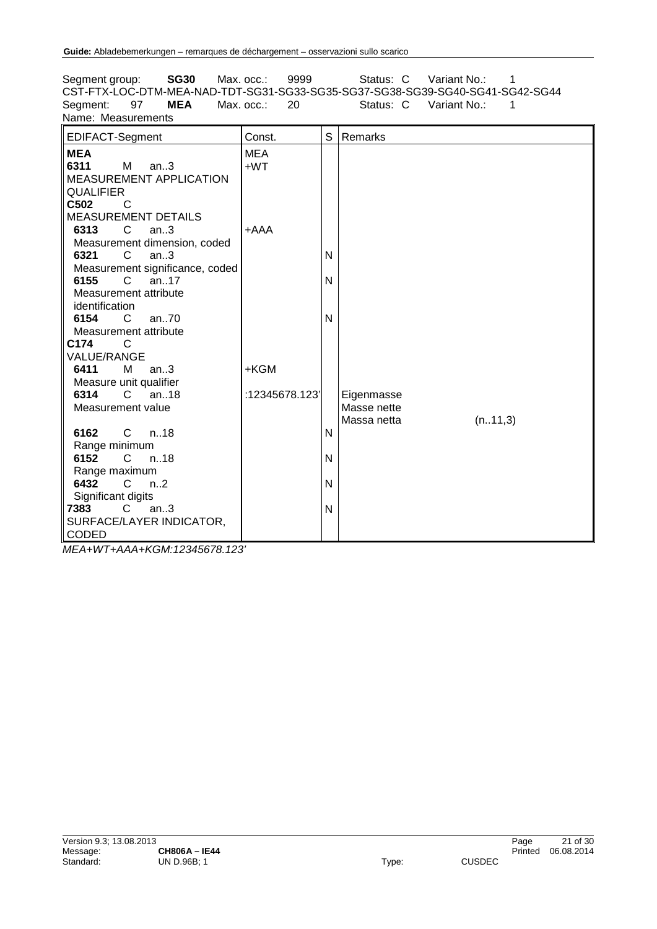Segment group: **SG30** Max. occ.: 9999 Status: C Variant No.: 1 CST-FTX-LOC-DTM-MEA-NAD-TDT-SG31-SG33-SG35-SG37-SG38-SG39-SG40-SG41-SG42-SG44 Segment: 97 **MEA** Max. occ.: 20 Status: C Variant No.: 1 Name: Measurements EDIFACT-Segment Const. S Remarks **MEA** MEA **6311** M an..3 MEASUREMENT APPLICATION **QUALIFIER** +WT **C502** C MEASUREMENT DETAILS<br>6313 C an..3 **an..3** Measurement dimension, coded<br>6321 C an..3 +AAA **an..3** Measurement significance, coded<br>6155 C an..17 N **6155** C an..17 Measurement attribute identification<br>6154 C N **6154** C an..70 Measurement attribute<br>2174 C N **C174** C VALUE/RANGE<br>6411 M **an..3** Measure unit qualifier<br>6314 C an., 18 +KGM **6314** C an..18 Measurement value :12345678.123' Eigenmasse Masse nette Massa netta (n..11,3) **6162** C n..18 Range minimum<br>6152 C n N **6152** C n..18 Range maximum<br>6432 C n. N **6432** C n..2 Significant digits<br>**7383** C a N **7383** C an..3 SURFACE/LAYER INDICATOR, CODED N

*MEA+WT+AAA+KGM:12345678.123'*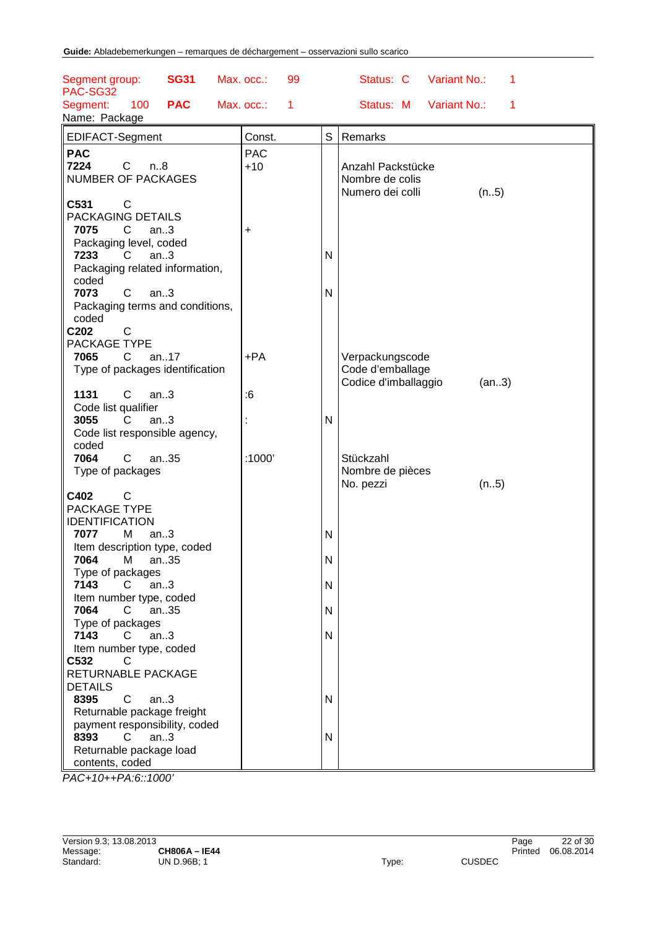| <b>SG31</b><br>Segment group:<br>PAC-SG32         | Max. occ.:<br>99           |              | Variant No.:<br>Status: C<br>1 |
|---------------------------------------------------|----------------------------|--------------|--------------------------------|
| 100<br><b>PAC</b><br>Segment:                     | Max. occ.:<br>$\mathbf{1}$ |              | Status: M<br>Variant No.:<br>1 |
| Name: Package                                     |                            |              |                                |
| EDIFACT-Segment                                   | Const.                     | S            | Remarks                        |
|                                                   |                            |              |                                |
| <b>PAC</b><br>7224<br>C<br>n.8                    | <b>PAC</b><br>$+10$        |              | Anzahl Packstücke              |
| <b>NUMBER OF PACKAGES</b>                         |                            |              | Nombre de colis                |
|                                                   |                            |              | Numero dei colli<br>(n5)       |
| C531<br>C                                         |                            |              |                                |
| PACKAGING DETAILS                                 |                            |              |                                |
| 7075<br>C<br>an.3                                 | +                          |              |                                |
| Packaging level, coded                            |                            |              |                                |
| 7233<br>C<br>an.3                                 |                            | $\mathsf{N}$ |                                |
| Packaging related information,                    |                            |              |                                |
| coded<br>7073<br>C                                |                            |              |                                |
| an.3<br>Packaging terms and conditions,           |                            | N            |                                |
| coded                                             |                            |              |                                |
| C202<br>$\mathsf{C}$                              |                            |              |                                |
| PACKAGE TYPE                                      |                            |              |                                |
| 7065<br>$\mathsf{C}$<br>an17                      | $+PA$                      |              | Verpackungscode                |
| Type of packages identification                   |                            |              | Code d'emballage               |
|                                                   |                            |              | Codice d'imballaggio<br>(an3)  |
| 1131<br>$\mathsf{C}$<br>an.3                      | :6                         |              |                                |
| Code list qualifier                               |                            |              |                                |
| 3055<br>C<br>an.3                                 |                            | $\mathsf{N}$ |                                |
| Code list responsible agency,<br>coded            |                            |              |                                |
| C<br>an35<br>7064                                 | :1000'                     |              | Stückzahl                      |
| Type of packages                                  |                            |              | Nombre de pièces               |
|                                                   |                            |              | No. pezzi<br>(n5)              |
| C<br>C402                                         |                            |              |                                |
| PACKAGE TYPE                                      |                            |              |                                |
| <b>IDENTIFICATION</b>                             |                            |              |                                |
| M<br>7077<br>an.3                                 |                            | $\mathsf{N}$ |                                |
| Item description type, coded<br>7064<br>М<br>an35 |                            | $\mathsf{N}$ |                                |
| Type of packages                                  |                            |              |                                |
| 7143<br>C<br>an.3                                 |                            | $\mathsf{N}$ |                                |
| Item number type, coded                           |                            |              |                                |
| 7064<br>an35<br>C                                 |                            | N            |                                |
| Type of packages                                  |                            |              |                                |
| 7143<br>an.3<br>C                                 |                            | N            |                                |
| Item number type, coded                           |                            |              |                                |
| C532<br>C<br>RETURNABLE PACKAGE                   |                            |              |                                |
| <b>DETAILS</b>                                    |                            |              |                                |
| 8395<br>C<br>an.3                                 |                            | N            |                                |
| Returnable package freight                        |                            |              |                                |
| payment responsibility, coded                     |                            |              |                                |
| 8393<br>C<br>an.3                                 |                            | $\mathsf{N}$ |                                |
| Returnable package load                           |                            |              |                                |
| contents, coded                                   |                            |              |                                |

*PAC+10++PA:6::1000'*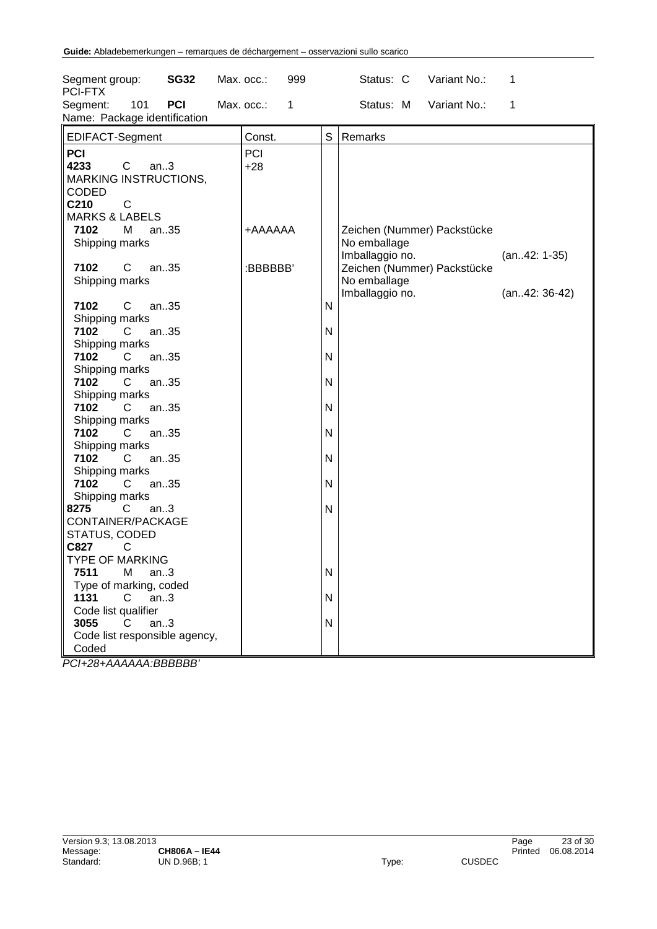| Segment group:<br><b>SG32</b><br>PCI-FTX                      | 999<br>Max. occ.:          |   | Status: C Variant No.:                         | $\mathbf 1$    |
|---------------------------------------------------------------|----------------------------|---|------------------------------------------------|----------------|
| 101<br><b>PCI</b><br>Segment:<br>Name: Package identification | Max. occ.:<br>$\mathbf{1}$ |   | Status: M Variant No.:                         | 1              |
| EDIFACT-Segment                                               | Const.                     | S | Remarks                                        |                |
| <b>PCI</b>                                                    | PCI                        |   |                                                |                |
| $\mathbf{C}$<br>4233<br>an.3                                  | $+28$                      |   |                                                |                |
| <b>MARKING INSTRUCTIONS,</b>                                  |                            |   |                                                |                |
| <b>CODED</b>                                                  |                            |   |                                                |                |
| C210<br>$\mathsf{C}$                                          |                            |   |                                                |                |
| <b>MARKS &amp; LABELS</b>                                     |                            |   |                                                |                |
| 7102<br>M<br>an35                                             | AAAAAA+                    |   | Zeichen (Nummer) Packstücke                    |                |
| Shipping marks                                                |                            |   | No emballage                                   |                |
| 7102<br>an35<br>C                                             | :BBBBBB'                   |   | Imballaggio no.<br>Zeichen (Nummer) Packstücke | $(an42: 1-35)$ |
| Shipping marks                                                |                            |   | No emballage                                   |                |
|                                                               |                            |   | Imballaggio no.                                | $(an42:36-42)$ |
| $\mathsf{C}$<br>7102<br>an35                                  |                            | N |                                                |                |
| Shipping marks                                                |                            |   |                                                |                |
| 7102<br>an35<br>$\overline{C}$                                |                            | N |                                                |                |
| Shipping marks                                                |                            |   |                                                |                |
| 7102<br>$\overline{C}$<br>an35                                |                            | N |                                                |                |
| Shipping marks                                                |                            |   |                                                |                |
| 7102<br>$\mathsf{C}$<br>an35                                  |                            | N |                                                |                |
| Shipping marks                                                |                            |   |                                                |                |
| 7102<br>$\mathsf{C}$<br>an35                                  |                            | N |                                                |                |
| Shipping marks                                                |                            |   |                                                |                |
| 7102<br>an35<br>C.<br>Shipping marks                          |                            | N |                                                |                |
| 7102<br>$\mathsf{C}$<br>an35                                  |                            | N |                                                |                |
| Shipping marks                                                |                            |   |                                                |                |
| 7102<br>$\mathsf{C}$<br>an35                                  |                            | N |                                                |                |
| Shipping marks                                                |                            |   |                                                |                |
| 8275<br>C an3                                                 |                            | N |                                                |                |
| CONTAINER/PACKAGE                                             |                            |   |                                                |                |
| STATUS, CODED                                                 |                            |   |                                                |                |
| C827<br>C                                                     |                            |   |                                                |                |
| <b>TYPE OF MARKING</b>                                        |                            |   |                                                |                |
| 7511<br>$M$ an3                                               |                            | N |                                                |                |
| Type of marking, coded<br>1131<br>an.3<br>C                   |                            | N |                                                |                |
| Code list qualifier                                           |                            |   |                                                |                |
| 3055<br>$\mathbf{C}$<br>an.3                                  |                            | N |                                                |                |
| Code list responsible agency,                                 |                            |   |                                                |                |
| Coded                                                         |                            |   |                                                |                |

*PCI+28+AAAAAA:BBBBBB'*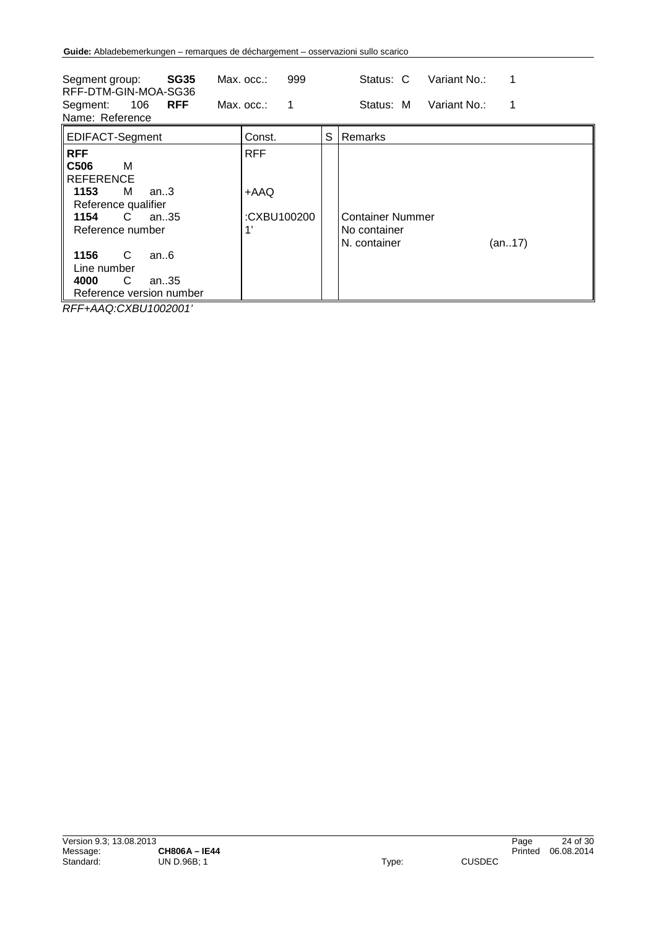| <b>SG35</b><br>Segment group:<br>RFF-DTM-GIN-MOA-SG36<br>106<br><b>RFF</b><br>Segment:<br>Name: Reference                                                                                                                                                         | Max. occ.:<br>Max. occ.:                | 999<br>1 |   | Variant No.:<br>Status: C<br>Status: M<br>Variant No.:            |
|-------------------------------------------------------------------------------------------------------------------------------------------------------------------------------------------------------------------------------------------------------------------|-----------------------------------------|----------|---|-------------------------------------------------------------------|
| <b>EDIFACT-Segment</b>                                                                                                                                                                                                                                            | Const.                                  |          | S | Remarks                                                           |
| <b>RFF</b><br>C <sub>506</sub><br>м<br><b>REFERENCE</b><br>1153<br>м<br>an $3$<br>Reference qualifier<br>1154<br>C<br>an. $.35$<br>Reference number<br>C<br>1156<br>an.6<br>Line number<br>С<br>4000<br>an35<br>Reference version number<br>BEE 448 81/BLU6080011 | <b>RFF</b><br>+AAQ<br>:CXBU100200<br>1' |          |   | <b>Container Nummer</b><br>No container<br>N. container<br>(an17) |

*RFF+AAQ:CXBU1002001'*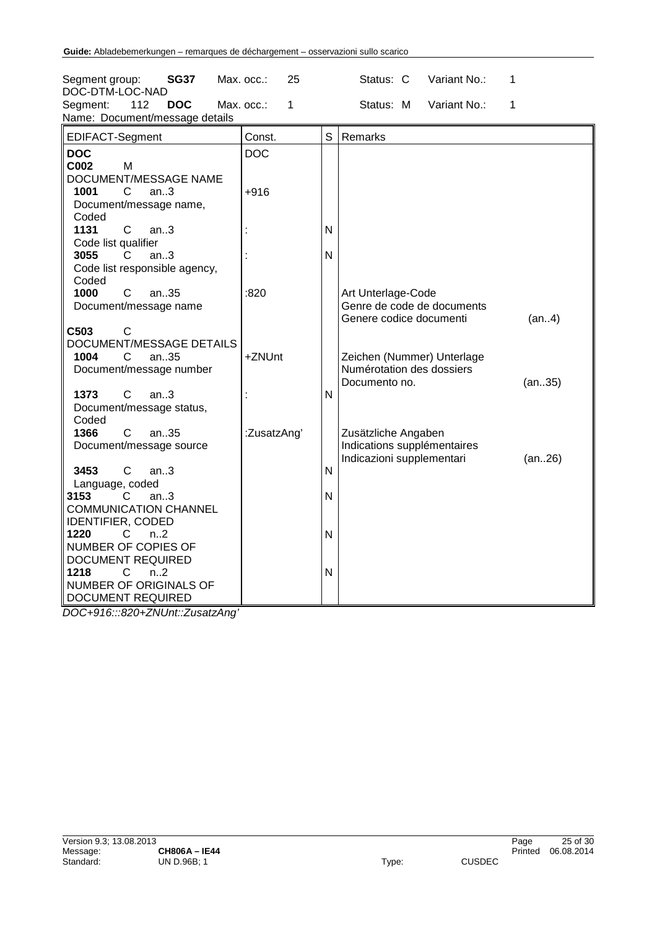| Segment group:<br><b>SG37</b>                                                      | Max. occ.:<br>25 |              | Variant No.:<br>Status: C                               | 1      |
|------------------------------------------------------------------------------------|------------------|--------------|---------------------------------------------------------|--------|
| DOC-DTM-LOC-NAD<br><b>DOC</b><br>Segment:<br>112<br>Name: Document/message details | Max. occ.:<br>1  |              | Status: M<br>Variant No.:                               | 1      |
| EDIFACT-Segment                                                                    | Const.           | S            | Remarks                                                 |        |
| <b>DOC</b>                                                                         | <b>DOC</b>       |              |                                                         |        |
| C002<br>M                                                                          |                  |              |                                                         |        |
| DOCUMENT/MESSAGE NAME                                                              |                  |              |                                                         |        |
| 1001<br>C<br>an.3                                                                  | +916             |              |                                                         |        |
| Document/message name,                                                             |                  |              |                                                         |        |
| Coded                                                                              |                  |              |                                                         |        |
| $\mathsf{C}$<br>1131<br>an.3                                                       |                  | N            |                                                         |        |
| Code list qualifier                                                                |                  |              |                                                         |        |
| an.3<br>3055<br>C                                                                  |                  | N            |                                                         |        |
| Code list responsible agency,                                                      |                  |              |                                                         |        |
| Coded                                                                              |                  |              |                                                         |        |
| 1000<br>C<br>an35                                                                  | :820             |              | Art Unterlage-Code                                      |        |
| Document/message name                                                              |                  |              | Genre de code de documents                              |        |
|                                                                                    |                  |              | Genere codice documenti                                 | (an4)  |
| C503<br>C                                                                          |                  |              |                                                         |        |
| DOCUMENT/MESSAGE DETAILS                                                           |                  |              |                                                         |        |
| 1004<br>$\mathsf{C}$<br>an35                                                       | +ZNUnt           |              | Zeichen (Nummer) Unterlage<br>Numérotation des dossiers |        |
| Document/message number                                                            |                  |              | Documento no.                                           | (an35) |
| 1373<br>C<br>an.3                                                                  |                  | N            |                                                         |        |
| Document/message status,                                                           |                  |              |                                                         |        |
| Coded                                                                              |                  |              |                                                         |        |
| 1366<br>C<br>an35                                                                  | :ZusatzAng'      |              | Zusätzliche Angaben                                     |        |
| Document/message source                                                            |                  |              | Indications supplémentaires                             |        |
|                                                                                    |                  |              | Indicazioni supplementari                               | (an26) |
| $\mathsf{C}$<br>3453<br>an.3                                                       |                  | $\mathsf{N}$ |                                                         |        |
| Language, coded                                                                    |                  |              |                                                         |        |
| 3153<br>C<br>an.3                                                                  |                  | N            |                                                         |        |
| <b>COMMUNICATION CHANNEL</b>                                                       |                  |              |                                                         |        |
| <b>IDENTIFIER, CODED</b>                                                           |                  |              |                                                         |        |
| 1220<br>C<br>n <sub>1</sub> 2                                                      |                  | N            |                                                         |        |
| NUMBER OF COPIES OF                                                                |                  |              |                                                         |        |
| <b>DOCUMENT REQUIRED</b>                                                           |                  |              |                                                         |        |
| 1218<br>С<br>n <sub>1</sub> 2                                                      |                  | N            |                                                         |        |
| <b>NUMBER OF ORIGINALS OF</b>                                                      |                  |              |                                                         |        |
| DOCUMENT REQUIRED                                                                  |                  |              |                                                         |        |

*DOC+916:::820+ZNUnt::ZusatzAng'*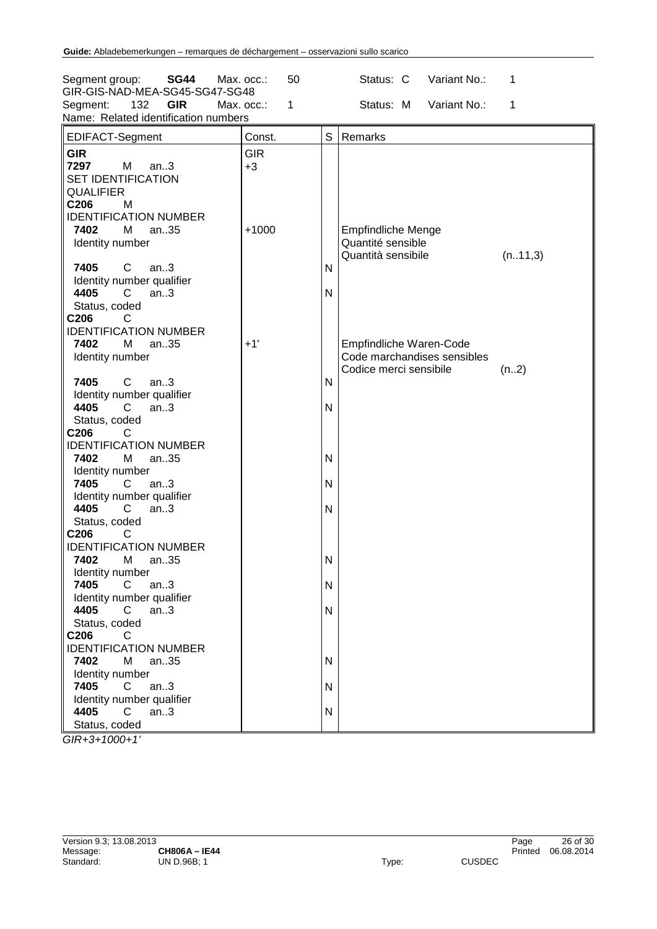| Segment group:<br><b>SG44</b><br>GIR-GIS-NAD-MEA-SG45-SG47-SG48                                                               | 50<br>Max. occ.:   | Status: C<br>Variant No.:<br>1                                                                           |
|-------------------------------------------------------------------------------------------------------------------------------|--------------------|----------------------------------------------------------------------------------------------------------|
| 132<br><b>GIR</b><br>Segment:<br>Name: Related identification numbers                                                         | 1<br>Max. occ.:    | Status: M<br>Variant No.:<br>1                                                                           |
| EDIFACT-Segment                                                                                                               | Const.             | S<br>Remarks                                                                                             |
| <b>GIR</b><br>7297<br>M<br>an.3<br><b>SET IDENTIFICATION</b><br><b>QUALIFIER</b><br>C206<br>M<br><b>IDENTIFICATION NUMBER</b> | <b>GIR</b><br>$+3$ |                                                                                                          |
| 7402<br>an35<br>м<br>Identity number<br>7405<br>$\mathsf{C}$<br>an.3<br>Identity number qualifier                             | $+1000$            | <b>Empfindliche Menge</b><br>Quantité sensible<br>Quantità sensibile<br>(n11,3)<br>N                     |
| 4405<br>C<br>an.3<br>Status, coded<br>C206<br>C<br><b>IDENTIFICATION NUMBER</b>                                               |                    | N                                                                                                        |
| 7402<br>М<br>an35<br>Identity number<br>7405<br>C<br>an.3                                                                     | $+1'$              | Empfindliche Waren-Code<br>Code marchandises sensibles<br>Codice merci sensibile<br>(n2)<br>$\mathsf{N}$ |
| Identity number qualifier<br>an.3<br>4405<br>C<br>Status, coded<br>C206<br>С                                                  |                    | N                                                                                                        |
| <b>IDENTIFICATION NUMBER</b><br>7402<br>М<br>an35<br>Identity number                                                          |                    | N                                                                                                        |
| 7405<br>$\mathsf{C}$<br>an.3<br>Identity number qualifier<br>4405<br>an.3<br>C<br>Status, coded                               |                    | $\mathsf{N}$<br>N                                                                                        |
| C <sub>206</sub><br>С<br><b>IDENTIFICATION NUMBER</b><br>7402<br>Μ<br>an35                                                    |                    | N                                                                                                        |
| Identity number<br>7405<br>$\mathsf{C}$<br>an.3<br>Identity number qualifier                                                  |                    | N                                                                                                        |
| 4405<br>$C$ an3<br>Status, coded<br>C206<br>C<br><b>IDENTIFICATION NUMBER</b>                                                 |                    | N                                                                                                        |
| 7402<br>М<br>an35<br>Identity number<br>an.3<br>7405<br>C.                                                                    |                    | N<br>N                                                                                                   |
| Identity number qualifier<br>an.3<br>4405<br>C<br>Status, coded                                                               |                    | N                                                                                                        |

*GIR+3+1000+1'*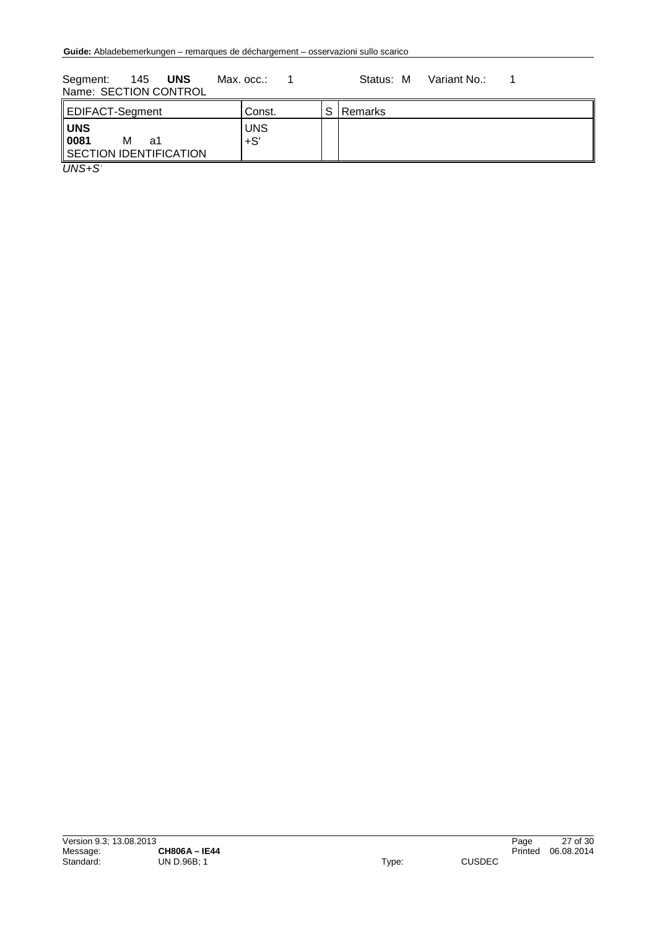Segment: 145 UNS Max. occ.: 1 Status: M Variant No.: 1 Name: SECTION CONTROL

| EDIFACT-Segment                                         | Const.              | c | l Remarks |
|---------------------------------------------------------|---------------------|---|-----------|
| <b>UNS</b><br>0081<br>М<br>a1<br>SECTION IDENTIFICATION | <b>UNS</b><br>$+S'$ |   |           |
| $\overline{\phantom{a}}$                                |                     |   |           |

*UNS+S'*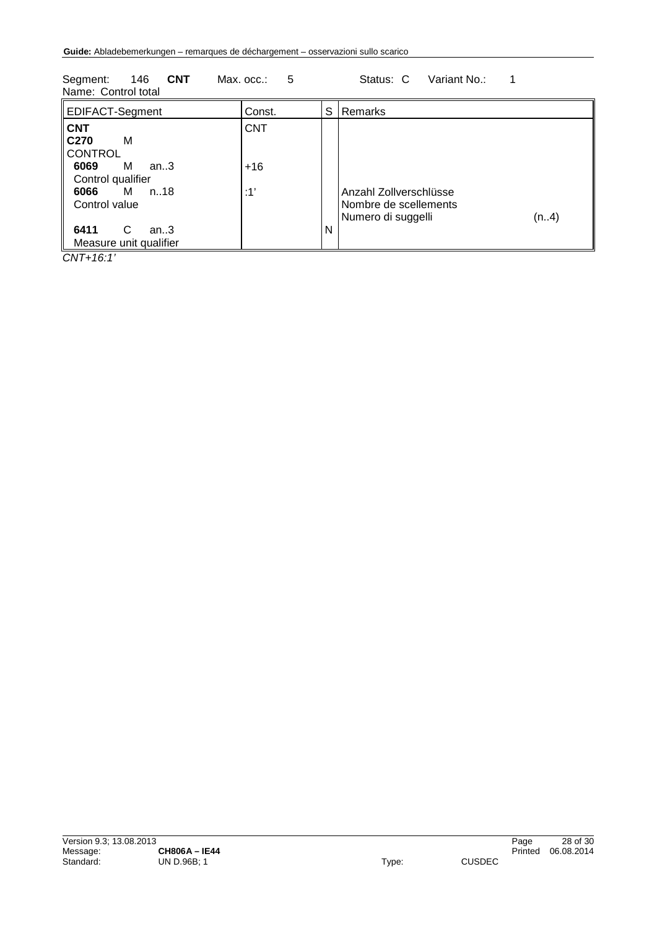| 0.911011<br>$\blacksquare$<br>.<br>1<br>ouuuo. o<br>Name: Control total    |                     |   |                                                                                |  |
|----------------------------------------------------------------------------|---------------------|---|--------------------------------------------------------------------------------|--|
| EDIFACT-Segment                                                            | Const.              | S | Remarks                                                                        |  |
| <b>CNT</b><br>C <sub>270</sub><br>м<br><b>CONTROL</b><br>м<br>6069<br>an.3 | <b>CNT</b><br>$+16$ |   |                                                                                |  |
| Control qualifier<br>M n18<br>6066<br>Control value                        | :1'                 |   | Anzahl Zollverschlüsse<br>Nombre de scellements<br>(n.4)<br>Numero di suggelli |  |
| 6411<br>C<br>an.3<br>Measure unit qualifier                                |                     | N |                                                                                |  |

Seament: 146 **CNT** Max. occ.: 5 Status: C Variant No.: 1

*CNT+16:1'*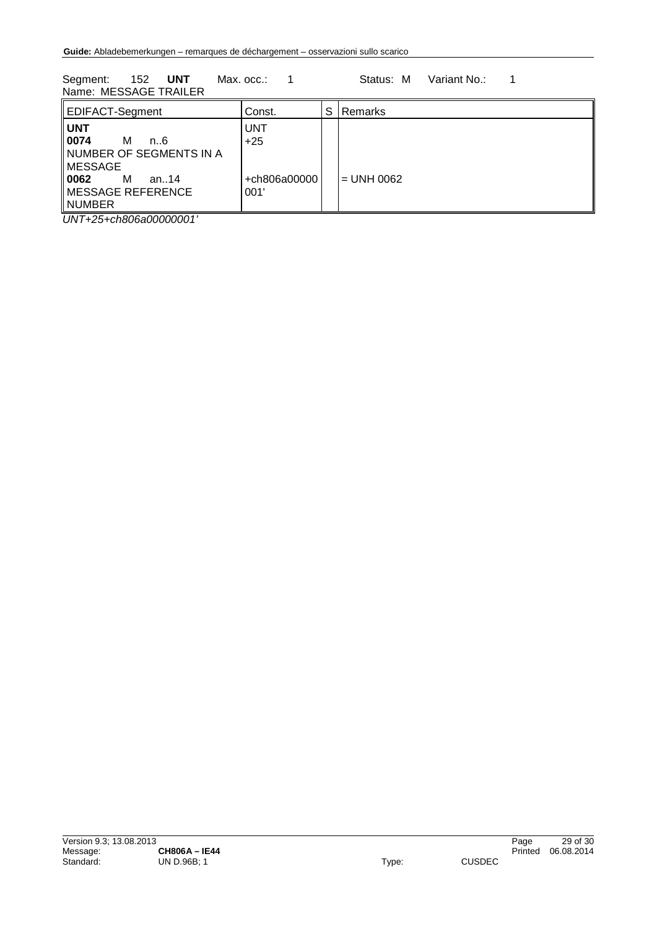Segment: 152 **UNT** Max. occ.: 1 Status: M Variant No.: 1 Name: MESSAGE TRAILER

| EDIFACT-Segment                                                                                                                               | Const.                                      | S | Remarks      |  |
|-----------------------------------------------------------------------------------------------------------------------------------------------|---------------------------------------------|---|--------------|--|
| <b>UNT</b><br>0074<br>м<br>$n_{\cdot}6$<br>∥NUMBER OF SEGMENTS IN A<br><b>MESSAGE</b><br>   0062<br>м<br>an.14<br>MESSAGE REFERENCE<br>NUMBER | <b>UNT</b><br>$+25$<br>+ch806a00000<br>001' |   | l = UNH 0062 |  |
| .  .__ _ _<br>.                                                                                                                               |                                             |   |              |  |

*UNT+25+ch806a00000001'*